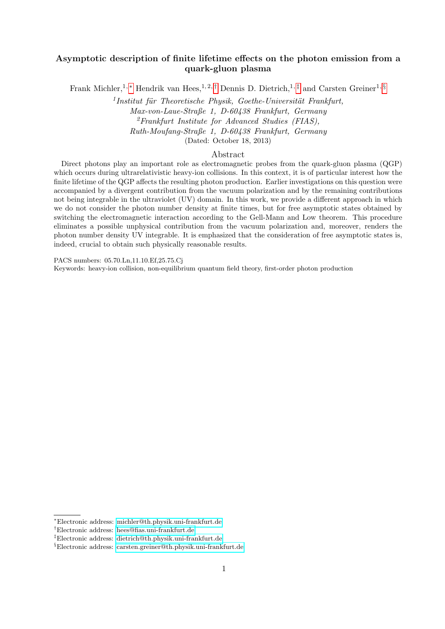# Asymptotic description of finite lifetime effects on the photon emission from a quark-gluon plasma

Frank Michler,<sup>1,\*</sup> Hendrik van Hees,<sup>1,2,[†](#page-0-1)</sup> Dennis D. Dietrich,<sup>1,[‡](#page-0-2)</sup> and Carsten Greiner<sup>1,[§](#page-0-3)</sup>

 $<sup>1</sup>$ Institut für Theoretische Physik, Goethe-Universität Frankfurt,</sup> Max-von-Laue-Straße 1, D-60438 Frankfurt, Germany  ${}^{2}$ Frankfurt Institute for Advanced Studies (FIAS). Ruth-Moufang-Straße 1, D-60438 Frankfurt, Germany (Dated: October 18, 2013)

# Abstract

Direct photons play an important role as electromagnetic probes from the quark-gluon plasma (QGP) which occurs during ultrarelativistic heavy-ion collisions. In this context, it is of particular interest how the finite lifetime of the QGP affects the resulting photon production. Earlier investigations on this question were accompanied by a divergent contribution from the vacuum polarization and by the remaining contributions not being integrable in the ultraviolet (UV) domain. In this work, we provide a different approach in which we do not consider the photon number density at finite times, but for free asymptotic states obtained by switching the electromagnetic interaction according to the Gell-Mann and Low theorem. This procedure eliminates a possible unphysical contribution from the vacuum polarization and, moreover, renders the photon number density UV integrable. It is emphasized that the consideration of free asymptotic states is, indeed, crucial to obtain such physically reasonable results.

PACS numbers: 05.70.Ln,11.10.Ef,25.75.Cj

Keywords: heavy-ion collision, non-equilibrium quantum field theory, first-order photon production

<span id="page-0-0"></span><sup>∗</sup>Electronic address: [michler@th.physik.uni-frankfurt.de](mailto:michler@th.physik.uni-frankfurt.de)

<span id="page-0-1"></span><sup>†</sup>Electronic address: [hees@fias.uni-frankfurt.de](mailto:hees@fias.uni-frankfurt.de)

<span id="page-0-2"></span><sup>‡</sup>Electronic address: [dietrich@th.physik.uni-frankfurt.de](mailto:dietrich@th.physik.uni-frankfurt.de)

<span id="page-0-3"></span><sup>§</sup>Electronic address: [carsten.greiner@th.physik.uni-frankfurt.de](mailto:carsten.greiner@th.physik.uni-frankfurt.de)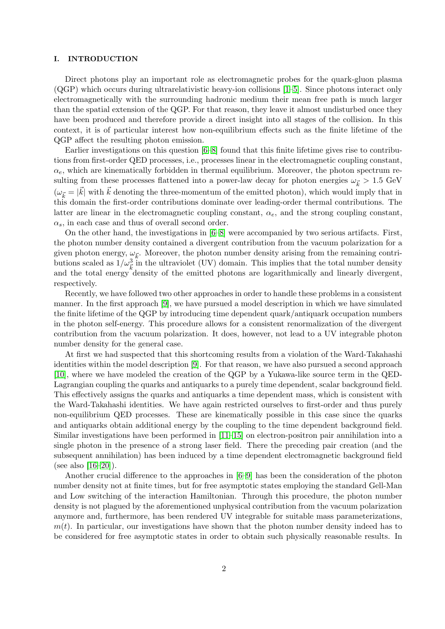#### I. INTRODUCTION

Direct photons play an important role as electromagnetic probes for the quark-gluon plasma (QGP) which occurs during ultrarelativistic heavy-ion collisions [\[1–](#page-22-0)[5\]](#page-22-1). Since photons interact only electromagnetically with the surrounding hadronic medium their mean free path is much larger than the spatial extension of the QGP. For that reason, they leave it almost undisturbed once they have been produced and therefore provide a direct insight into all stages of the collision. In this context, it is of particular interest how non-equilibrium effects such as the finite lifetime of the QGP affect the resulting photon emission.

Earlier investigations on this question  $[6-8]$  $[6-8]$  found that this finite lifetime gives rise to contributions from first-order QED processes, i.e., processes linear in the electromagnetic coupling constant,  $\alpha_e$ , which are kinematically forbidden in thermal equilibrium. Moreover, the photon spectrum resulting from these processes flattened into a power-law decay for photon energies  $\omega_{\vec{k}} > 1.5 \text{ GeV}$  $(\omega_{\vec{k}} = |\vec{k}|)$  with  $\vec{k}$  denoting the three-momentum of the emitted photon), which would imply that in this domain the first-order contributions dominate over leading-order thermal contributions. The latter are linear in the electromagnetic coupling constant,  $\alpha_e$ , and the strong coupling constant,  $\alpha_s$ , in each case and thus of overall second order.

On the other hand, the investigations in [\[6–](#page-22-2)[8\]](#page-22-3) were accompanied by two serious artifacts. First, the photon number density contained a divergent contribution from the vacuum polarization for a given photon energy,  $\omega_{\vec{k}}$ . Moreover, the photon number density arising from the remaining contributions scaled as  $1/\omega_k^3$  in the ultraviolet (UV) domain. This implies that the total number density and the total energy density of the emitted photons are logarithmically and linearly divergent, respectively.

Recently, we have followed two other approaches in order to handle these problems in a consistent manner. In the first approach [\[9\]](#page-22-4), we have pursued a model description in which we have simulated the finite lifetime of the QGP by introducing time dependent quark/antiquark occupation numbers in the photon self-energy. This procedure allows for a consistent renormalization of the divergent contribution from the vacuum polarization. It does, however, not lead to a UV integrable photon number density for the general case.

At first we had suspected that this shortcoming results from a violation of the Ward-Takahashi identities within the model description [\[9\]](#page-22-4). For that reason, we have also pursued a second approach [\[10\]](#page-22-5), where we have modeled the creation of the QGP by a Yukawa-like source term in the QED-Lagrangian coupling the quarks and antiquarks to a purely time dependent, scalar background field. This effectively assigns the quarks and antiquarks a time dependent mass, which is consistent with the Ward-Takahashi identities. We have again restricted ourselves to first-order and thus purely non-equilibrium QED processes. These are kinematically possible in this case since the quarks and antiquarks obtain additional energy by the coupling to the time dependent background field. Similar investigations have been performed in [\[11–](#page-23-0)[15\]](#page-23-1) on electron-positron pair annihilation into a single photon in the presence of a strong laser field. There the preceding pair creation (and the subsequent annihilation) has been induced by a time dependent electromagnetic background field (see also [\[16–](#page-23-2)[20\]](#page-23-3)).

Another crucial difference to the approaches in [\[6–](#page-22-2)[9\]](#page-22-4) has been the consideration of the photon number density not at finite times, but for free asymptotic states employing the standard Gell-Man and Low switching of the interaction Hamiltonian. Through this procedure, the photon number density is not plagued by the aforementioned unphysical contribution from the vacuum polarization anymore and, furthermore, has been rendered UV integrable for suitable mass parameterizations,  $m(t)$ . In particular, our investigations have shown that the photon number density indeed has to be considered for free asymptotic states in order to obtain such physically reasonable results. In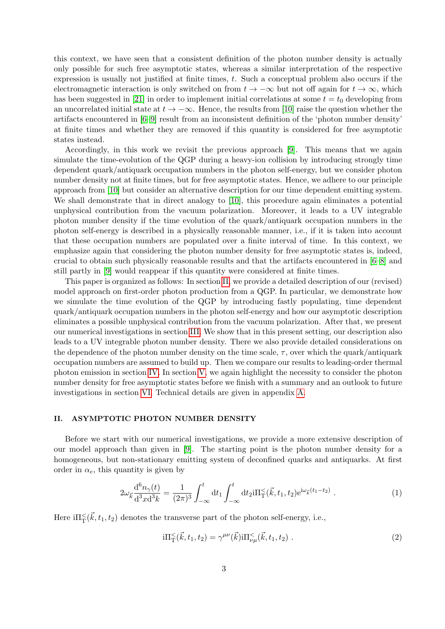this context, we have seen that a consistent definition of the photon number density is actually only possible for such free asymptotic states, whereas a similar interpretation of the respective expression is usually not justified at finite times, t. Such a conceptual problem also occurs if the electromagnetic interaction is only switched on from  $t \to -\infty$  but not off again for  $t \to \infty$ , which has been suggested in [\[21\]](#page-23-4) in order to implement initial correlations at some  $t = t_0$  developing from an uncorrelated initial state at  $t \to -\infty$ . Hence, the results from [\[10\]](#page-22-5) raise the question whether the artifacts encountered in [\[6–](#page-22-2)[9\]](#page-22-4) result from an inconsistent definition of the 'photon number density' at finite times and whether they are removed if this quantity is considered for free asymptotic states instead.

Accordingly, in this work we revisit the previous approach [\[9\]](#page-22-4). This means that we again simulate the time-evolution of the QGP during a heavy-ion collision by introducing strongly time dependent quark/antiquark occupation numbers in the photon self-energy, but we consider photon number density not at finite times, but for free asymptotic states. Hence, we adhere to our principle approach from [\[10\]](#page-22-5) but consider an alternative description for our time dependent emitting system. We shall demonstrate that in direct analogy to [\[10\]](#page-22-5), this procedure again eliminates a potential unphysical contribution from the vacuum polarization. Moreover, it leads to a UV integrable photon number density if the time evolution of the quark/antiquark occupation numbers in the photon self-energy is described in a physically reasonable manner, i.e., if it is taken into account that these occupation numbers are populated over a finite interval of time. In this context, we emphasize again that considering the photon number density for free asymptotic states is, indeed, crucial to obtain such physically reasonable results and that the artifacts encountered in [\[6–](#page-22-2)[8\]](#page-22-3) and still partly in [\[9\]](#page-22-4) would reappear if this quantity were considered at finite times.

This paper is organized as follows: In section [II,](#page-2-0) we provide a detailed description of our (revised) model approach on first-order photon production from a QGP. In particular, we demonstrate how we simulate the time evolution of the QGP by introducing fastly populating, time dependent quark/antiquark occupation numbers in the photon self-energy and how our asymptotic description eliminates a possible unphysical contribution from the vacuum polarization. After that, we present our numerical investigations in section [III.](#page-6-0) We show that in this present setting, our description also leads to a UV integrable photon number density. There we also provide detailed considerations on the dependence of the photon number density on the time scale,  $\tau$ , over which the quark/antiquark occupation numbers are assumed to build up. Then we compare our results to leading-order thermal photon emission in section [IV.](#page-14-0) In section [V,](#page-17-0) we again highlight the necessity to consider the photon number density for free asymptotic states before we finish with a summary and an outlook to future investigations in section [VI.](#page-18-0) Technical details are given in appendix [A.](#page-20-0)

#### <span id="page-2-0"></span>II. ASYMPTOTIC PHOTON NUMBER DENSITY

Before we start with our numerical investigations, we provide a more extensive description of our model approach than given in [\[9\]](#page-22-4). The starting point is the photon number density for a homogeneous, but non-stationary emitting system of deconfined quarks and antiquarks. At first order in  $\alpha_e$ , this quantity is given by

<span id="page-2-1"></span>
$$
2\omega_{\vec{k}} \frac{\mathrm{d}^6 n_{\gamma}(t)}{\mathrm{d}^3 x \mathrm{d}^3 k} = \frac{1}{(2\pi)^3} \int_{-\infty}^t \mathrm{d}t_1 \int_{-\infty}^t \mathrm{d}t_2 \mathrm{i} \Pi_{\mathrm{T}}^{\leq}(\vec{k}, t_1, t_2) e^{\mathrm{i}\omega_{\vec{k}}(t_1 - t_2)} . \tag{1}
$$

Here  $\mathrm{i}\Pi_{\mathrm{T}}^{\leq}(\vec{k},t_1,t_2)$  denotes the transverse part of the photon self-energy, i.e.,

$$
i\Pi_{\rm T}^{\leq}(\vec{k},t_1,t_2) = \gamma^{\mu\nu}(\vec{k})i\Pi_{\nu\mu}^{\leq}(\vec{k},t_1,t_2) \ . \tag{2}
$$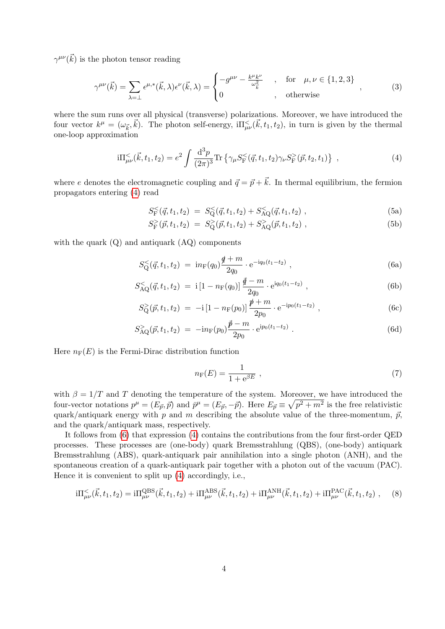$\gamma^{\mu\nu}(\vec{k})$  is the photon tensor reading

<span id="page-3-5"></span>
$$
\gamma^{\mu\nu}(\vec{k}) = \sum_{\lambda=\perp} \epsilon^{\mu,*}(\vec{k}, \lambda) \epsilon^{\nu}(\vec{k}, \lambda) = \begin{cases}\n-g^{\mu\nu} - \frac{k^{\mu}k^{\nu}}{\omega_{\vec{k}}^2} & , \text{ for } \mu, \nu \in \{1, 2, 3\} \\
0 & , \text{ otherwise}\n\end{cases}
$$
\n(3)

where the sum runs over all physical (transverse) polarizations. Moreover, we have introduced the four vector  $k^{\mu} = (\omega_{\vec{k}}, \vec{k})$ . The photon self-energy,  $i\Pi_{\mu\nu}^{\leq}(\vec{k}, t_1, t_2)$ , in turn is given by the thermal one-loop approximation

<span id="page-3-0"></span>
$$
i\Pi_{\mu\nu}^{<}(\vec{k},t_1,t_2) = e^2 \int \frac{d^3p}{(2\pi)^3} \text{Tr} \left\{ \gamma_{\mu} S_{\text{F}}^{<}(\vec{q},t_1,t_2) \gamma_{\nu} S_{\text{F}}^{>}(\vec{p},t_2,t_1) \right\} , \qquad (4)
$$

where e denotes the electromagnetic coupling and  $\vec{q} = \vec{p} + \vec{k}$ . In thermal equilibrium, the fermion propagators entering [\(4\)](#page-3-0) read

<span id="page-3-3"></span>
$$
S_{\rm F}^{<}(\vec{q}, t_1, t_2) = S_{\rm Q}^{<}(\vec{q}, t_1, t_2) + S_{\rm AQ}^{<}(\vec{q}, t_1, t_2) , \qquad (5a)
$$

<span id="page-3-1"></span>
$$
S_{\rm F}^>(\vec{p}, t_1, t_2) = S_{\rm Q}^>(\vec{p}, t_1, t_2) + S_{\rm AQ}^>(\vec{p}, t_1, t_2) , \qquad (5b)
$$

with the quark  $(Q)$  and antiquark  $(AQ)$  components

<span id="page-3-2"></span>
$$
S_{\mathbf{Q}}^{\langle}(\vec{q},t_1,t_2) = \mathrm{i}n_{\mathbf{F}}(q_0)\frac{\rlap{\hspace{0.02cm}/}{q} + m}{2q_0} \cdot e^{-\mathrm{i}q_0(t_1-t_2)},\tag{6a}
$$

$$
S_{\text{AQ}}^{<}(\vec{q}, t_1, t_2) = i \left[ 1 - n_{\text{F}}(q_0) \right] \frac{\vec{q} - m}{2q_0} \cdot e^{iq_0(t_1 - t_2)}, \qquad (6b)
$$

$$
S_{\mathcal{Q}}^>(\vec{p}, t_1, t_2) = -i\left[1 - n_{\mathcal{F}}(p_0)\right] \frac{\rlap{\,/}{p} + m}{2p_0} \cdot e^{-ip_0(t_1 - t_2)}, \tag{6c}
$$

$$
S_{\text{AQ}}^>(\vec{p}, t_1, t_2) = -i n_{\text{F}}(p_0) \frac{\vec{p} - m}{2p_0} \cdot e^{ip_0(t_1 - t_2)} \,. \tag{6d}
$$

Here  $n_F(E)$  is the Fermi-Dirac distribution function

<span id="page-3-4"></span>
$$
n_{\mathcal{F}}(E) = \frac{1}{1 + e^{\beta E}} \,, \tag{7}
$$

with  $\beta = 1/T$  and T denoting the temperature of the system. Moreover, we have introduced the four-vector notations  $p^{\mu} = (E_{\vec{p}}, \vec{p})$  and  $\bar{p}^{\mu} = (E_{\vec{p}}, -\vec{p})$ . Here  $E_{\vec{p}} \equiv \sqrt{p^2 + m^2}$  is the free relativistic quark/antiquark energy with p and m describing the absolute value of the three-momentum,  $\vec{p}$ , and the quark/antiquark mass, respectively.

It follows from [\(6\)](#page-3-1) that expression [\(4\)](#page-3-0) contains the contributions from the four first-order QED processes. These processes are (one-body) quark Bremsstrahlung (QBS), (one-body) antiquark Bremsstrahlung (ABS), quark-antiquark pair annihilation into a single photon (ANH), and the spontaneous creation of a quark-antiquark pair together with a photon out of the vacuum (PAC). Hence it is convenient to split up [\(4\)](#page-3-0) accordingly, i.e.,

$$
i\Pi_{\mu\nu}^{<}(\vec{k},t_1,t_2) = i\Pi_{\mu\nu}^{\text{QBS}}(\vec{k},t_1,t_2) + i\Pi_{\mu\nu}^{\text{ABS}}(\vec{k},t_1,t_2) + i\Pi_{\mu\nu}^{\text{ANH}}(\vec{k},t_1,t_2) + i\Pi_{\mu\nu}^{\text{PAC}}(\vec{k},t_1,t_2) ,\quad (8)
$$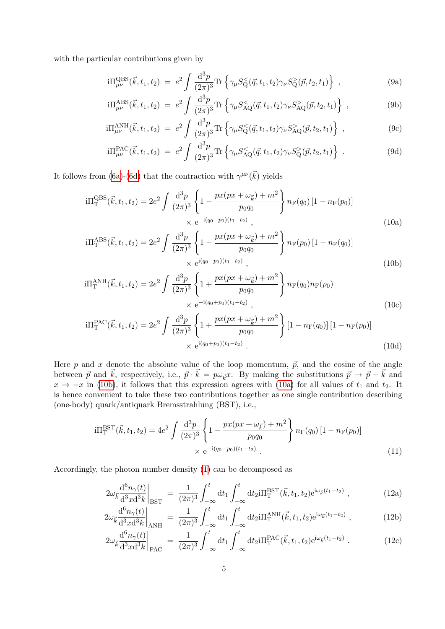with the particular contributions given by

$$
i\Pi_{\mu\nu}^{\text{QBS}}(\vec{k}, t_1, t_2) = e^2 \int \frac{\mathrm{d}^3 p}{(2\pi)^3} \text{Tr} \left\{ \gamma_\mu S^<_{\text{Q}}(\vec{q}, t_1, t_2) \gamma_\nu S^>_{\text{Q}}(\vec{p}, t_2, t_1) \right\} , \tag{9a}
$$

$$
i\Pi_{\mu\nu}^{ABS}(\vec{k},t_1,t_2) = e^2 \int \frac{d^3p}{(2\pi)^3} \text{Tr} \left\{ \gamma_{\mu} S_{\text{AQ}}^{<}(\vec{q},t_1,t_2) \gamma_{\nu} S_{\text{AQ}}^{>}(\vec{p},t_2,t_1) \right\} , \tag{9b}
$$

$$
i\Pi_{\mu\nu}^{\text{ANH}}(\vec{k}, t_1, t_2) = e^2 \int \frac{\mathrm{d}^3 p}{(2\pi)^3} \text{Tr} \left\{ \gamma_\mu S^<_{\text{Q}}(\vec{q}, t_1, t_2) \gamma_\nu S^>_{\text{AQ}}(\vec{p}, t_2, t_1) \right\} , \tag{9c}
$$

<span id="page-4-1"></span>
$$
i\Pi_{\mu\nu}^{\text{PAC}}(\vec{k}, t_1, t_2) = e^2 \int \frac{\mathrm{d}^3 p}{(2\pi)^3} \text{Tr} \left\{ \gamma_\mu S_{\text{AQ}}^<(\vec{q}, t_1, t_2) \gamma_\nu S_{\text{Q}}^>(\vec{p}, t_2, t_1) \right\} \ . \tag{9d}
$$

It follows from [\(6a\)](#page-3-2)-[\(6d\)](#page-3-2) that the contraction with  $\gamma^{\mu\nu}(\vec{k})$  yields

$$
i\Pi_{\rm T}^{\rm QBS}(\vec{k}, t_1, t_2) = 2e^2 \int \frac{\mathrm{d}^3 p}{(2\pi)^3} \left\{ 1 - \frac{px(px + \omega_{\vec{k}}) + m^2}{p_0 q_0} \right\} n_{\rm F}(q_0) \left[ 1 - n_{\rm F}(p_0) \right] \times e^{-i(q_0 - p_0)(t_1 - t_2)}, \tag{10a}
$$

<span id="page-4-0"></span>
$$
i\Pi_{\rm T}^{\rm ABS}(\vec{k},t_1,t_2) = 2e^2 \int \frac{\mathrm{d}^3 p}{(2\pi)^3} \left\{ 1 - \frac{px(px + \omega_{\vec{k}}) + m^2}{p_0 q_0} \right\} n_{\rm F}(p_0) \left[ 1 - n_{\rm F}(q_0) \right] \times e^{i(q_0 - p_0)(t_1 - t_2)}, \tag{10b}
$$

$$
i\Pi_{\rm T}^{\rm ANH}(\vec{k},t_1,t_2) = 2e^2 \int \frac{\mathrm{d}^3 p}{(2\pi)^3} \left\{ 1 + \frac{px(px + \omega_{\vec{k}}) + m^2}{p_0 q_0} \right\} n_{\rm F}(q_0) n_{\rm F}(p_0)
$$
  
 
$$
\times e^{-i(q_0 + p_0)(t_1 - t_2)}, \qquad (10c)
$$

<span id="page-4-5"></span><span id="page-4-4"></span>
$$
i\Pi_{\rm T}^{\rm PAC}(\vec{k}, t_1, t_2) = 2e^2 \int \frac{\mathrm{d}^3 p}{(2\pi)^3} \left\{ 1 + \frac{px(px + \omega_{\vec{k}}) + m^2}{p_0 q_0} \right\} [1 - n_{\rm F}(q_0)] [1 - n_{\rm F}(p_0)]
$$
  
 
$$
\times e^{i(q_0 + p_0)(t_1 - t_2)} . \tag{10d}
$$

Here p and x denote the absolute value of the loop momentum,  $\vec{p}$ , and the cosine of the angle between  $\vec{p}$  and  $\vec{k}$ , respectively, i.e.,  $\vec{p} \cdot \vec{k} = p \omega_{\vec{k}} x$ . By making the substitutions  $\vec{p} \to \vec{p} - \vec{k}$  and  $x \to -x$  in [\(10b\)](#page-4-0), it follows that this expression agrees with [\(10a\)](#page-4-1) for all values of  $t_1$  and  $t_2$ . It is hence convenient to take these two contributions together as one single contribution describing (one-body) quark/antiquark Bremsstrahlung (BST), i.e.,

$$
i\Pi_{\rm T}^{\rm BST}(\vec{k}, t_1, t_2) = 4e^2 \int \frac{\mathrm{d}^3 p}{(2\pi)^3} \left\{ 1 - \frac{px(px + \omega_{\vec{k}}) + m^2}{p_0 q_0} \right\} n_{\rm F}(q_0) \left[ 1 - n_{\rm F}(p_0) \right] \times e^{-i(q_0 - p_0)(t_1 - t_2)}.
$$
\n(11)

Accordingly, the photon number density [\(1\)](#page-2-1) can be decomposed as

<span id="page-4-3"></span><span id="page-4-2"></span>
$$
2\omega_{\vec{k}}\frac{\mathrm{d}^6 n_{\gamma}(t)}{\mathrm{d}^3 x \mathrm{d}^3 k}\bigg|_{\text{BST}} = \frac{1}{(2\pi)^3} \int_{-\infty}^t \mathrm{d}t_1 \int_{-\infty}^t \mathrm{d}t_2 \mathrm{i} \Pi_{\text{T}}^{\text{BST}}(\vec{k}, t_1, t_2) \mathrm{e}^{\mathrm{i}\omega_{\vec{k}}(t_1 - t_2)}, \qquad (12\mathrm{a})
$$

$$
2\omega_{\vec{k}} \frac{d^6 n_{\gamma}(t)}{d^3 x d^3 k} \bigg|_{\text{ANH}} = \frac{1}{(2\pi)^3} \int_{-\infty}^t dt_1 \int_{-\infty}^t dt_2 i \Pi_{\text{T}}^{\text{ANH}}(\vec{k}, t_1, t_2) e^{i\omega_{\vec{k}}(t_1 - t_2)}, \tag{12b}
$$

$$
2\omega_{\vec{k}} \frac{d^6 n_{\gamma}(t)}{d^3 x d^3 k} \bigg|_{\text{PAC}} = \frac{1}{(2\pi)^3} \int_{-\infty}^t dt_1 \int_{-\infty}^t dt_2 i \Pi_{\text{T}}^{\text{PAC}}(\vec{k}, t_1, t_2) e^{i\omega_{\vec{k}}(t_1 - t_2)} \,. \tag{12c}
$$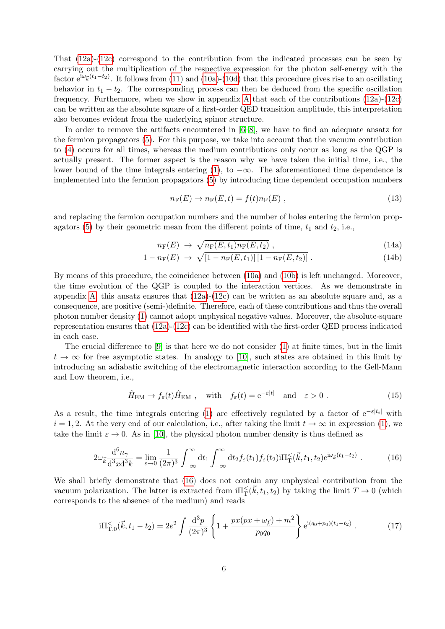That [\(12a\)](#page-4-2)-[\(12c\)](#page-4-2) correspond to the contribution from the indicated processes can be seen by carrying out the multiplication of the respective expression for the photon self-energy with the factor  $e^{i\omega_{\vec{k}}(t_1-t_2)}$ . It follows from [\(11\)](#page-4-3) and [\(10a\)](#page-4-1)-[\(10d\)](#page-4-4) that this procedure gives rise to an oscillating behavior in  $t_1 - t_2$ . The corresponding process can then be deduced from the specific oscillation frequency. Furthermore, when we show in appendix [A](#page-20-0) that each of the contributions  $(12a)-(12c)$  $(12a)-(12c)$  $(12a)-(12c)$ can be written as the absolute square of a first-order QED transition amplitude, this interpretation also becomes evident from the underlying spinor structure.

In order to remove the artifacts encountered in [\[6–](#page-22-2)[8\]](#page-22-3), we have to find an adequate ansatz for the fermion propagators [\(5\)](#page-3-3). For this purpose, we take into account that the vacuum contribution to [\(4\)](#page-3-0) occurs for all times, whereas the medium contributions only occur as long as the QGP is actually present. The former aspect is the reason why we have taken the initial time, i.e., the lower bound of the time integrals entering [\(1\)](#page-2-1), to  $-\infty$ . The aforementioned time dependence is implemented into the fermion propagators [\(5\)](#page-3-3) by introducing time dependent occupation numbers

<span id="page-5-2"></span>
$$
n_{\mathcal{F}}(E) \to n_{\mathcal{F}}(E, t) = f(t)n_{\mathcal{F}}(E) , \qquad (13)
$$

and replacing the fermion occupation numbers and the number of holes entering the fermion prop-agators [\(5\)](#page-3-3) by their geometric mean from the different points of time,  $t_1$  and  $t_2$ , i.e.,

<span id="page-5-3"></span>
$$
n_{\mathcal{F}}(E) \rightarrow \sqrt{n_{\mathcal{F}}(E,t_1)n_{\mathcal{F}}(E,t_2)}\,,\tag{14a}
$$

$$
1 - n_{\rm F}(E) \rightarrow \sqrt{[1 - n_{\rm F}(E, t_1)][1 - n_{\rm F}(E, t_2)]} \ . \tag{14b}
$$

By means of this procedure, the coincidence between [\(10a\)](#page-4-1) and [\(10b\)](#page-4-0) is left unchanged. Moreover, the time evolution of the QGP is coupled to the interaction vertices. As we demonstrate in appendix [A,](#page-20-0) this ansatz ensures that  $(12a)-(12c)$  $(12a)-(12c)$  $(12a)-(12c)$  can be written as an absolute square and, as a consequence, are positive (semi-)definite. Therefore, each of these contributions and thus the overall photon number density [\(1\)](#page-2-1) cannot adopt unphysical negative values. Moreover, the absolute-square representation ensures that [\(12a\)](#page-4-2)-[\(12c\)](#page-4-2) can be identified with the first-order QED process indicated in each case.

The crucial difference to [\[9\]](#page-22-4) is that here we do not consider [\(1\)](#page-2-1) at finite times, but in the limit  $t \to \infty$  for free asymptotic states. In analogy to [\[10\]](#page-22-5), such states are obtained in this limit by introducing an adiabatic switching of the electromagnetic interaction according to the Gell-Mann and Low theorem, i.e.,

$$
\hat{H}_{\text{EM}} \to f_{\varepsilon}(t)\hat{H}_{\text{EM}} , \quad \text{with} \quad f_{\varepsilon}(t) = e^{-\varepsilon|t|} \quad \text{and} \quad \varepsilon > 0 . \tag{15}
$$

As a result, the time integrals entering [\(1\)](#page-2-1) are effectively regulated by a factor of  $e^{-\epsilon|t_i|}$  with  $i = 1, 2$ . At the very end of our calculation, i.e., after taking the limit  $t \to \infty$  in expression [\(1\)](#page-2-1), we take the limit  $\varepsilon \to 0$ . As in [\[10\]](#page-22-5), the physical photon number density is thus defined as

<span id="page-5-0"></span>
$$
2\omega_{\vec{k}}\frac{\mathrm{d}^6 n_\gamma}{\mathrm{d}^3 x \mathrm{d}^3 k} = \lim_{\varepsilon \to 0} \frac{1}{(2\pi)^3} \int_{-\infty}^{\infty} \mathrm{d}t_1 \int_{-\infty}^{\infty} \mathrm{d}t_2 f_{\varepsilon}(t_1) f_{\varepsilon}(t_2) \mathrm{i} \Pi_{\mathrm{T}}^{\leq}(\vec{k}, t_1, t_2) e^{\mathrm{i}\omega_{\vec{k}}(t_1 - t_2)} \,. \tag{16}
$$

We shall briefly demonstrate that  $(16)$  does not contain any unphysical contribution from the vacuum polarization. The latter is extracted from  $i\Pi_{\rm T}^{\leq}(\vec{k}, t_1, t_2)$  by taking the limit  $T \to 0$  (which corresponds to the absence of the medium) and reads

<span id="page-5-1"></span>
$$
i\Pi_{\mathrm{T},0}^{\leq}(\vec{k},t_1-t_2) = 2e^2 \int \frac{\mathrm{d}^3 p}{(2\pi)^3} \left\{ 1 + \frac{px(px + \omega_{\vec{k}}) + m^2}{p_0 q_0} \right\} e^{i(q_0 + p_0)(t_1 - t_2)} \,. \tag{17}
$$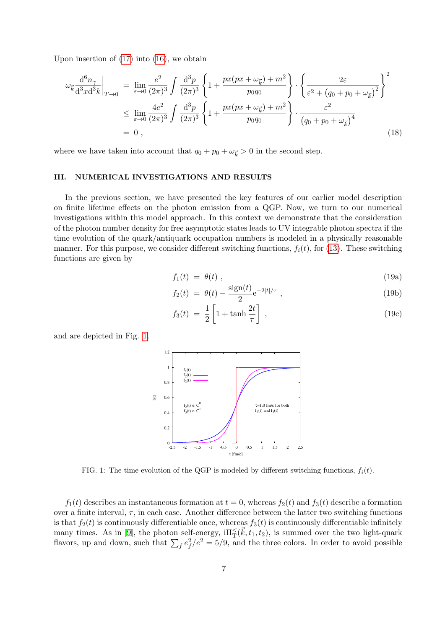Upon insertion of [\(17\)](#page-5-1) into [\(16\)](#page-5-0), we obtain

<span id="page-6-2"></span>
$$
\omega_{\vec{k}} \frac{d^6 n_\gamma}{d^3 x d^3 k} \Big|_{T \to 0} = \lim_{\varepsilon \to 0} \frac{\varepsilon^2}{(2\pi)^3} \int \frac{d^3 p}{(2\pi)^3} \left\{ 1 + \frac{px(px + \omega_{\vec{k}}) + m^2}{p_0 q_0} \right\} \cdot \left\{ \frac{2\varepsilon}{\varepsilon^2 + (q_0 + p_0 + \omega_{\vec{k}})^2} \right\}^2
$$
  
\n
$$
\leq \lim_{\varepsilon \to 0} \frac{4e^2}{(2\pi)^3} \int \frac{d^3 p}{(2\pi)^3} \left\{ 1 + \frac{px(px + \omega_{\vec{k}}) + m^2}{p_0 q_0} \right\} \cdot \frac{\varepsilon^2}{(q_0 + p_0 + \omega_{\vec{k}})^4}
$$
  
\n= 0 , (18)

where we have taken into account that  $q_0 + p_0 + \omega_{\vec{k}} > 0$  in the second step.

# <span id="page-6-0"></span>III. NUMERICAL INVESTIGATIONS AND RESULTS

In the previous section, we have presented the key features of our earlier model description on finite lifetime effects on the photon emission from a QGP. Now, we turn to our numerical investigations within this model approach. In this context we demonstrate that the consideration of the photon number density for free asymptotic states leads to UV integrable photon spectra if the time evolution of the quark/antiquark occupation numbers is modeled in a physically reasonable manner. For this purpose, we consider different switching functions,  $f_i(t)$ , for [\(13\)](#page-5-2). These switching functions are given by

$$
f_1(t) = \theta(t) \tag{19a}
$$

$$
f_2(t) = \theta(t) - \frac{\text{sign}(t)}{2} e^{-2|t|/\tau} , \qquad (19b)
$$

$$
f_3(t) = \frac{1}{2} \left[ 1 + \tanh\frac{2t}{\tau} \right] \,, \tag{19c}
$$

and are depicted in Fig. [1.](#page-6-1)



<span id="page-6-1"></span>FIG. 1: The time evolution of the QGP is modeled by different switching functions,  $f_i(t)$ .

 $f_1(t)$  describes an instantaneous formation at  $t = 0$ , whereas  $f_2(t)$  and  $f_3(t)$  describe a formation over a finite interval,  $\tau$ , in each case. Another difference between the latter two switching functions is that  $f_2(t)$  is continuously differentiable once, whereas  $f_3(t)$  is continuously differentiable infinitely many times. As in [\[9\]](#page-22-4), the photon self-energy,  $i\Pi_{\rm T}^{\leq}(\vec{k}, t_1, t_2)$ , is summed over the two light-quark flavors, up and down, such that  $\sum_{f} e_f^2/e^2 = 5/9$ , and the three colors. In order to avoid possible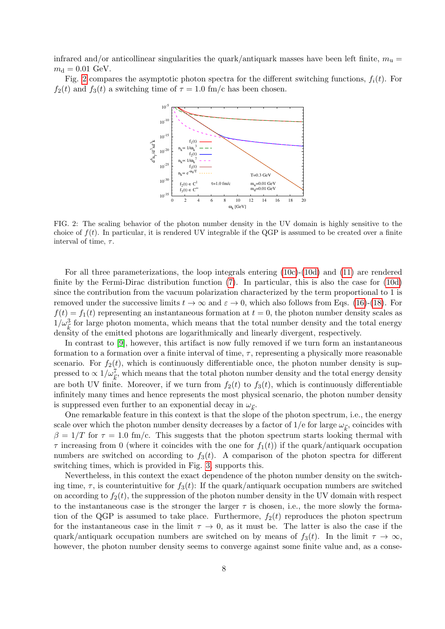infrared and/or anticollinear singularities the quark/antiquark masses have been left finite,  $m_u$  =  $m_{\rm d} = 0.01 \text{ GeV}.$ 

Fig. [2](#page-7-0) compares the asymptotic photon spectra for the different switching functions,  $f_i(t)$ . For  $f_2(t)$  and  $f_3(t)$  a switching time of  $\tau = 1.0$  fm/c has been chosen.



<span id="page-7-0"></span>FIG. 2: The scaling behavior of the photon number density in the UV domain is highly sensitive to the choice of  $f(t)$ . In particular, it is rendered UV integrable if the QGP is assumed to be created over a finite interval of time,  $\tau$ .

For all three parameterizations, the loop integrals entering  $(10c)-(10d)$  $(10c)-(10d)$  $(10c)-(10d)$  and  $(11)$  are rendered finite by the Fermi-Dirac distribution function [\(7\)](#page-3-4). In particular, this is also the case for [\(10d\)](#page-4-4) since the contribution from the vacuum polarization characterized by the term proportional to 1 is removed under the successive limits  $t \to \infty$  and  $\varepsilon \to 0$ , which also follows from Eqs. [\(16\)](#page-5-0)-[\(18\)](#page-6-2). For  $f(t) = f_1(t)$  representing an instantaneous formation at  $t = 0$ , the photon number density scales as  $1/\omega_{\vec{k}}^3$  for large photon momenta, which means that the total number density and the total energy density of the emitted photons are logarithmically and linearly divergent, respectively.

In contrast to [\[9\]](#page-22-4), however, this artifact is now fully removed if we turn form an instantaneous formation to a formation over a finite interval of time,  $\tau$ , representing a physically more reasonable scenario. For  $f_2(t)$ , which is continuously differentiable once, the photon number density is suppressed to  $\propto 1/\omega_{\vec{k}}^7$ , which means that the total photon number density and the total energy density are both UV finite. Moreover, if we turn from  $f_2(t)$  to  $f_3(t)$ , which is continuously differentiable infinitely many times and hence represents the most physical scenario, the photon number density is suppressed even further to an exponential decay in  $\omega_{\vec{k}}$ .

One remarkable feature in this context is that the slope of the photon spectrum, i.e., the energy scale over which the photon number density decreases by a factor of  $1/e$  for large  $\omega_{\vec{k}}$ , coincides with  $\beta = 1/T$  for  $\tau = 1.0$  fm/c. This suggests that the photon spectrum starts looking thermal with  $\tau$  increasing from 0 (where it coincides with the one for  $f_1(t)$ ) if the quark/antiquark occupation numbers are switched on according to  $f_3(t)$ . A comparison of the photon spectra for different switching times, which is provided in Fig. [3,](#page-8-0) supports this.

Nevertheless, in this context the exact dependence of the photon number density on the switching time,  $\tau$ , is counterintuitive for  $f_3(t)$ : If the quark/antiquark occupation numbers are switched on according to  $f_2(t)$ , the suppression of the photon number density in the UV domain with respect to the instantaneous case is the stronger the larger  $\tau$  is chosen, i.e., the more slowly the formation of the QGP is assumed to take place. Furthermore,  $f_2(t)$  reproduces the photon spectrum for the instantaneous case in the limit  $\tau \to 0$ , as it must be. The latter is also the case if the quark/antiquark occupation numbers are switched on by means of  $f_3(t)$ . In the limit  $\tau \to \infty$ , however, the photon number density seems to converge against some finite value and, as a conse-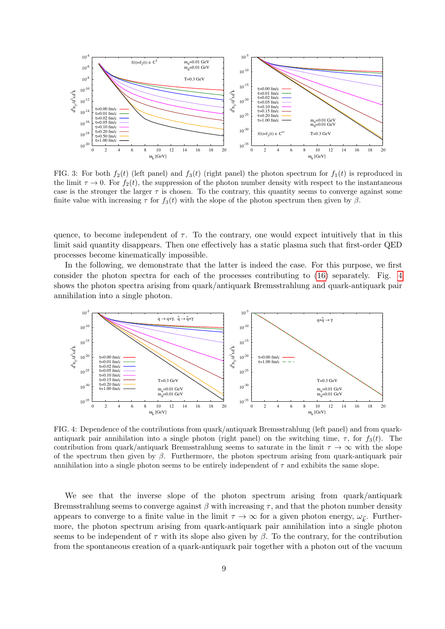

<span id="page-8-0"></span>FIG. 3: For both  $f_2(t)$  (left panel) and  $f_3(t)$  (right panel) the photon spectrum for  $f_1(t)$  is reproduced in the limit  $\tau \to 0$ . For  $f_2(t)$ , the suppression of the photon number density with respect to the instantaneous case is the stronger the larger  $\tau$  is chosen. To the contrary, this quantity seems to converge against some finite value with increasing  $\tau$  for  $f_3(t)$  with the slope of the photon spectrum then given by  $\beta$ .

quence, to become independent of  $\tau$ . To the contrary, one would expect intuitively that in this limit said quantity disappears. Then one effectively has a static plasma such that first-order QED processes become kinematically impossible.

In the following, we demonstrate that the latter is indeed the case. For this purpose, we first consider the photon spectra for each of the processes contributing to [\(16\)](#page-5-0) separately. Fig. [4](#page-8-1) shows the photon spectra arising from quark/antiquark Bremsstrahlung and quark-antiquark pair annihilation into a single photon.



<span id="page-8-1"></span>FIG. 4: Dependence of the contributions from quark/antiquark Bremsstrahlung (left panel) and from quarkantiquark pair annihilation into a single photon (right panel) on the switching time,  $\tau$ , for  $f_3(t)$ . The contribution from quark/antiquark Bremsstrahlung seems to saturate in the limit  $\tau \to \infty$  with the slope of the spectrum then given by  $\beta$ . Furthermore, the photon spectrum arising from quark-antiquark pair annihilation into a single photon seems to be entirely independent of  $\tau$  and exhibits the same slope.

We see that the inverse slope of the photon spectrum arising from quark/antiquark Bremsstrahlung seems to converge against  $\beta$  with increasing  $\tau$ , and that the photon number density appears to converge to a finite value in the limit  $\tau \to \infty$  for a given photon energy,  $\omega_{\vec{k}}$ . Furthermore, the photon spectrum arising from quark-antiquark pair annihilation into a single photon seems to be independent of  $\tau$  with its slope also given by  $\beta$ . To the contrary, for the contribution from the spontaneous creation of a quark-antiquark pair together with a photon out of the vacuum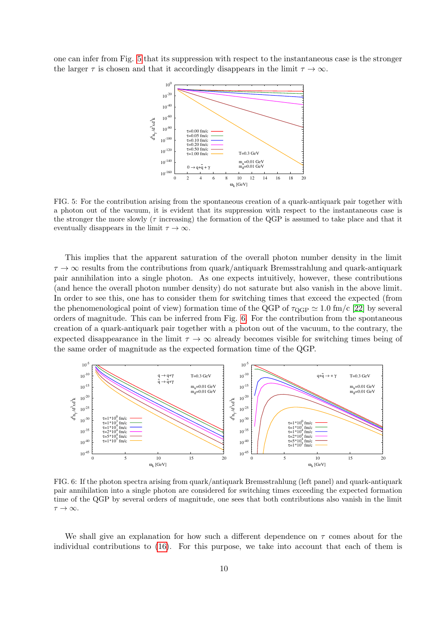one can infer from Fig. [5](#page-9-0) that its suppression with respect to the instantaneous case is the stronger the larger  $\tau$  is chosen and that it accordingly disappears in the limit  $\tau \to \infty$ .

![](_page_9_Figure_1.jpeg)

<span id="page-9-0"></span>FIG. 5: For the contribution arising from the spontaneous creation of a quark-antiquark pair together with a photon out of the vacuum, it is evident that its suppression with respect to the instantaneous case is the stronger the more slowly ( $\tau$  increasing) the formation of the QGP is assumed to take place and that it eventually disappears in the limit  $\tau \to \infty$ .

This implies that the apparent saturation of the overall photon number density in the limit  $\tau \to \infty$  results from the contributions from quark/antiquark Bremsstrahlung and quark-antiquark pair annihilation into a single photon. As one expects intuitively, however, these contributions (and hence the overall photon number density) do not saturate but also vanish in the above limit. In order to see this, one has to consider them for switching times that exceed the expected (from the phenomenological point of view) formation time of the QGP of  $\tau_{\text{OGP}} \simeq 1.0 \text{ fm/c}$  [\[22\]](#page-23-5) by several orders of magnitude. This can be inferred from Fig. [6.](#page-9-1) For the contribution from the spontaneous creation of a quark-antiquark pair together with a photon out of the vacuum, to the contrary, the expected disappearance in the limit  $\tau \to \infty$  already becomes visible for switching times being of the same order of magnitude as the expected formation time of the QGP.

![](_page_9_Figure_4.jpeg)

<span id="page-9-1"></span>FIG. 6: If the photon spectra arising from quark/antiquark Bremsstrahlung (left panel) and quark-antiquark pair annihilation into a single photon are considered for switching times exceeding the expected formation time of the QGP by several orders of magnitude, one sees that both contributions also vanish in the limit  $\tau \to \infty$ .

We shall give an explanation for how such a different dependence on  $\tau$  comes about for the individual contributions to [\(16\)](#page-5-0). For this purpose, we take into account that each of them is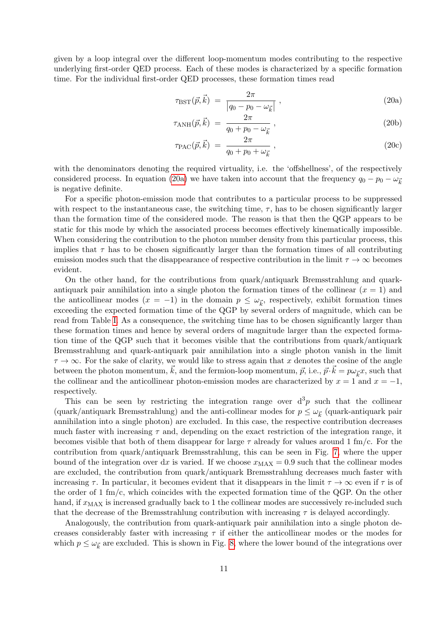given by a loop integral over the different loop-momentum modes contributing to the respective underlying first-order QED process. Each of these modes is characterized by a specific formation time. For the individual first-order QED processes, these formation times read

<span id="page-10-0"></span>
$$
\tau_{\text{BST}}(\vec{p}, \vec{k}) = \frac{2\pi}{|q_0 - p_0 - \omega_{\vec{k}}|}, \qquad (20a)
$$

$$
\tau_{\text{ANH}}(\vec{p}, \vec{k}) = \frac{2\pi}{q_0 + p_0 - \omega_{\vec{k}}}, \qquad (20b)
$$

$$
\tau_{\text{PAC}}(\vec{p}, \vec{k}) = \frac{2\pi}{q_0 + p_0 + \omega_{\vec{k}}}, \qquad (20c)
$$

with the denominators denoting the required virtuality, i.e. the 'offshellness', of the respectively considered process. In equation [\(20a\)](#page-10-0) we have taken into account that the frequency  $q_0 - p_0 - \omega_{\vec{k}}$ is negative definite.

For a specific photon-emission mode that contributes to a particular process to be suppressed with respect to the instantaneous case, the switching time,  $\tau$ , has to be chosen significantly larger than the formation time of the considered mode. The reason is that then the QGP appears to be static for this mode by which the associated process becomes effectively kinematically impossible. When considering the contribution to the photon number density from this particular process, this implies that  $\tau$  has to be chosen significantly larger than the formation times of all contributing emission modes such that the disappearance of respective contribution in the limit  $\tau \to \infty$  becomes evident.

On the other hand, for the contributions from quark/antiquark Bremsstrahlung and quarkantiquark pair annihilation into a single photon the formation times of the collinear  $(x = 1)$  and the anticollinear modes  $(x = -1)$  in the domain  $p \leq \omega_{\vec{k}}$ , respectively, exhibit formation times exceeding the expected formation time of the QGP by several orders of magnitude, which can be read from Table [I.](#page-11-0) As a consequence, the switching time has to be chosen significantly larger than these formation times and hence by several orders of magnitude larger than the expected formation time of the QGP such that it becomes visible that the contributions from quark/antiquark Bremsstrahlung and quark-antiquark pair annihilation into a single photon vanish in the limit  $\tau \to \infty$ . For the sake of clarity, we would like to stress again that x denotes the cosine of the angle between the photon momentum,  $\vec{k}$ , and the fermion-loop momentum,  $\vec{p}$ , i.e.,  $\vec{p} \cdot \vec{k} = p\omega_{\vec{k}}x$ , such that the collinear and the anticollinear photon-emission modes are characterized by  $x = 1$  and  $x = -1$ , respectively.

This can be seen by restricting the integration range over  $d^3p$  such that the collinear (quark/antiquark Bremsstrahlung) and the anti-collinear modes for  $p \leq \omega_{\vec{k}}$  (quark-antiquark pair annihilation into a single photon) are excluded. In this case, the respective contribution decreases much faster with increasing  $\tau$  and, depending on the exact restriction of the integration range, it becomes visible that both of them disappear for large  $\tau$  already for values around 1 fm/c. For the contribution from quark/antiquark Bremsstrahlung, this can be seen in Fig. [7,](#page-11-1) where the upper bound of the integration over dx is varied. If we choose  $x_{\text{MAX}} = 0.9$  such that the collinear modes are excluded, the contribution from quark/antiquark Bremsstrahlung decreases much faster with increasing  $\tau$ . In particular, it becomes evident that it disappears in the limit  $\tau \to \infty$  even if  $\tau$  is of the order of 1 fm/c, which coincides with the expected formation time of the QGP. On the other hand, if  $x<sub>MAX</sub>$  is increased gradually back to 1 the collinear modes are successively re-included such that the decrease of the Bremsstrahlung contribution with increasing  $\tau$  is delayed accordingly.

Analogously, the contribution from quark-antiquark pair annihilation into a single photon decreases considerably faster with increasing  $\tau$  if either the anticollinear modes or the modes for which  $p \leq \omega_{\vec{k}}$  are excluded. This is shown in Fig. [8,](#page-12-0) where the lower bound of the integrations over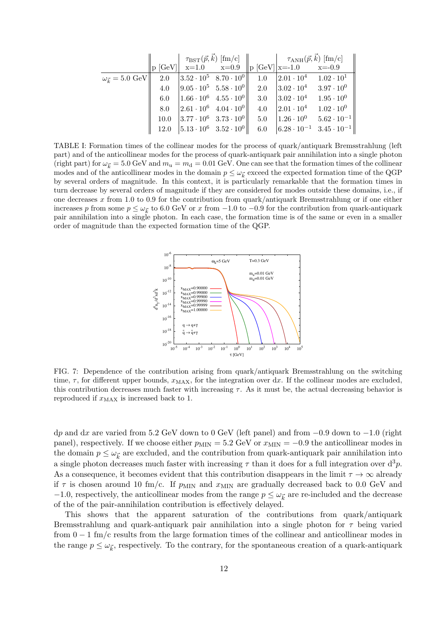|                                   |              |  |                                                                   |     | $\tau_{\text{BST}}(\vec{p}, \vec{k})$ [fm/c] $\parallel \qquad \qquad \tau_{\text{ANH}}(\vec{p}, \vec{k})$ [fm/c]                       |                                                                         |
|-----------------------------------|--------------|--|-------------------------------------------------------------------|-----|-----------------------------------------------------------------------------------------------------------------------------------------|-------------------------------------------------------------------------|
|                                   | $\ p$ [GeV]] |  |                                                                   |     | $x=1.0$ $x=0.9$   p $[GeV]$  x=-1.0 $x=-0.9$                                                                                            |                                                                         |
| $\omega_{\vec{k}}=5.0~\text{GeV}$ | 2.0          |  |                                                                   |     | $\begin{vmatrix} 3.52 \cdot 10^5 & 8.70 \cdot 10^0 \end{vmatrix}$ 1.0 $\begin{vmatrix} 2.01 \cdot 10^4 & 1.02 \cdot 10^1 \end{vmatrix}$ |                                                                         |
|                                   | 4.0          |  | $\begin{bmatrix} 9.05 \cdot 10^5 & 5.58 \cdot 10^0 \end{bmatrix}$ |     | 2.0 $ 3.02 \cdot 10^4$ 3.97 $\cdot 10^0$                                                                                                |                                                                         |
|                                   | 6.0          |  | $1.66 \cdot 10^6$ 4.55 $\cdot 10^0$                               | 3.0 | $ 3.02 \cdot 10^4$ $1.95 \cdot 10^0$                                                                                                    |                                                                         |
|                                   | 8.0          |  | $\left  2.61 \cdot 10^6 \quad 4.04 \cdot 10^0 \right $            | 4.0 | $ 2.01 \cdot 10^4$ $1.02 \cdot 10^0$                                                                                                    |                                                                         |
|                                   | 10.0         |  | $\begin{vmatrix} 3.77 \cdot 10^6 & 3.73 \cdot 10^0 \end{vmatrix}$ | 5.0 |                                                                                                                                         | $\left  1.26 \cdot 10^{0} \right $ 5.62 $\cdot 10^{-1}$                 |
|                                   | 12.0         |  | $\begin{vmatrix} 5.13 \cdot 10^6 & 3.52 \cdot 10^0 \end{vmatrix}$ | 6.0 |                                                                                                                                         | $\begin{vmatrix} 6.28 \cdot 10^{-1} & 3.45 \cdot 10^{-1} \end{vmatrix}$ |

<span id="page-11-0"></span>TABLE I: Formation times of the collinear modes for the process of quark/antiquark Bremsstrahlung (left part) and of the anticollinear modes for the process of quark-antiquark pair annihilation into a single photon (right part) for  $\omega_{\vec{k}} = 5.0 \text{ GeV}$  and  $m_u = m_d = 0.01 \text{ GeV}$ . One can see that the formation times of the collinear modes and of the anticollinear modes in the domain  $p \leq \omega_{\vec{k}}$  exceed the expected formation time of the QGP by several orders of magnitude. In this context, it is particularly remarkable that the formation times in turn decrease by several orders of magnitude if they are considered for modes outside these domains, i.e., if one decreases  $x$  from 1.0 to 0.9 for the contribution from quark/antiquark Bremsstrahlung or if one either increases p from some  $p \le \omega_{\vec{k}}$  to 6.0 GeV or x from  $-1.0$  to  $-0.9$  for the contribution from quark-antiquark pair annihilation into a single photon. In each case, the formation time is of the same or even in a smaller order of magnitude than the expected formation time of the QGP.

![](_page_11_Figure_2.jpeg)

<span id="page-11-1"></span>FIG. 7: Dependence of the contribution arising from quark/antiquark Bremsstrahlung on the switching time,  $\tau$ , for different upper bounds,  $x_{\text{MAX}}$ , for the integration over dx. If the collinear modes are excluded, this contribution decreases much faster with increasing  $\tau$ . As it must be, the actual decreasing behavior is reproduced if  $x_{MAX}$  is increased back to 1.

dp and dx are varied from 5.2 GeV down to 0 GeV (left panel) and from  $-0.9$  down to  $-1.0$  (right panel), respectively. If we choose either  $p_{\text{MIN}} = 5.2 \text{ GeV}$  or  $x_{\text{MIN}} = -0.9$  the anticollinear modes in the domain  $p \leq \omega_{\vec{k}}$  are excluded, and the contribution from quark-antiquark pair annihilation into a single photon decreases much faster with increasing  $\tau$  than it does for a full integration over  $d^3p$ . As a consequence, it becomes evident that this contribution disappears in the limit  $\tau \to \infty$  already if  $\tau$  is chosen around 10 fm/c. If  $p_{\text{MIN}}$  and  $x_{\text{MIN}}$  are gradually decreased back to 0.0 GeV and  $-1.0$ , respectively, the anticollinear modes from the range  $p \leq \omega_{\vec{k}}$  are re-included and the decrease of the of the pair-annihilation contribution is effectively delayed.

This shows that the apparent saturation of the contributions from quark/antiquark Bremsstrahlung and quark-antiquark pair annihilation into a single photon for  $\tau$  being varied from 0 − 1 fm/c results from the large formation times of the collinear and anticollinear modes in the range  $p \leq \omega_{\vec{k}}$ , respectively. To the contrary, for the spontaneous creation of a quark-antiquark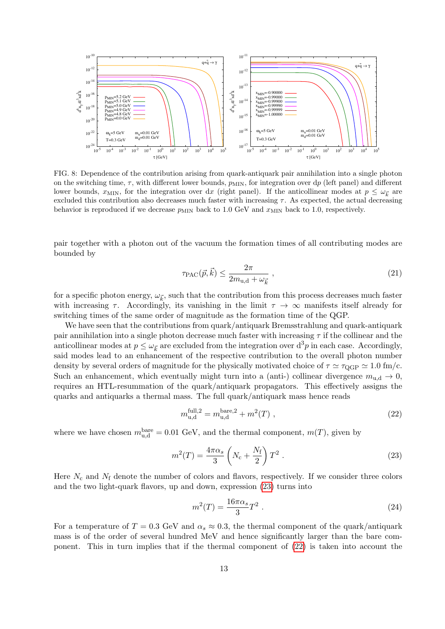![](_page_12_Figure_0.jpeg)

<span id="page-12-0"></span>FIG. 8: Dependence of the contribution arising from quark-antiquark pair annihilation into a single photon on the switching time,  $\tau$ , with different lower bounds,  $p_{\text{MIN}}$ , for integration over dp (left panel) and different lower bounds,  $x_{\text{MIN}}$ , for the integration over dx (right panel). If the anticollinear modes at  $p \le \omega_{\vec{k}}$  are excluded this contribution also decreases much faster with increasing  $\tau$ . As expected, the actual decreasing behavior is reproduced if we decrease  $p_{\text{MIN}}$  back to 1.0 GeV and  $x_{\text{MIN}}$  back to 1.0, respectively.

pair together with a photon out of the vacuum the formation times of all contributing modes are bounded by

$$
\tau_{\text{PAC}}(\vec{p}, \vec{k}) \le \frac{2\pi}{2m_{\text{u,d}} + \omega_{\vec{k}}},
$$
\n(21)

for a specific photon energy,  $\omega_{\vec{k}}$ , such that the contribution from this process decreases much faster with increasing  $\tau$ . Accordingly, its vanishing in the limit  $\tau \to \infty$  manifests itself already for switching times of the same order of magnitude as the formation time of the QGP.

We have seen that the contributions from quark/antiquark Bremsstrahlung and quark-antiquark pair annihilation into a single photon decrease much faster with increasing  $\tau$  if the collinear and the anticollinear modes at  $p \leq \omega_{\vec{k}}$  are excluded from the integration over  $d^3p$  in each case. Accordingly, said modes lead to an enhancement of the respective contribution to the overall photon number density by several orders of magnitude for the physically motivated choice of  $\tau \simeq \tau_{\text{OGP}} \simeq 1.0 \text{ fm/c}$ . Such an enhancement, which eventually might turn into a (anti-) collinear divergence  $m_{u,d} \to 0$ , requires an HTL-resummation of the quark/antiquark propagators. This effectively assigns the quarks and antiquarks a thermal mass. The full quark/antiquark mass hence reads

<span id="page-12-2"></span>
$$
m_{\rm u,d}^{\rm full,2} = m_{\rm u,d}^{\rm bare,2} + m^2(T) , \qquad (22)
$$

where we have chosen  $m_{u,d}^{\text{bare}} = 0.01 \text{ GeV}$ , and the thermal component,  $m(T)$ , given by

<span id="page-12-1"></span>
$$
m^{2}(T) = \frac{4\pi\alpha_{s}}{3} \left(N_{c} + \frac{N_{f}}{2}\right) T^{2} .
$$
 (23)

Here  $N_c$  and  $N_f$  denote the number of colors and flavors, respectively. If we consider three colors and the two light-quark flavors, up and down, expression [\(23\)](#page-12-1) turns into

$$
m^2(T) = \frac{16\pi\alpha_s}{3}T^2.
$$
 (24)

For a temperature of  $T = 0.3$  GeV and  $\alpha_s \approx 0.3$ , the thermal component of the quark/antiquark mass is of the order of several hundred MeV and hence significantly larger than the bare component. This in turn implies that if the thermal component of [\(22\)](#page-12-2) is taken into account the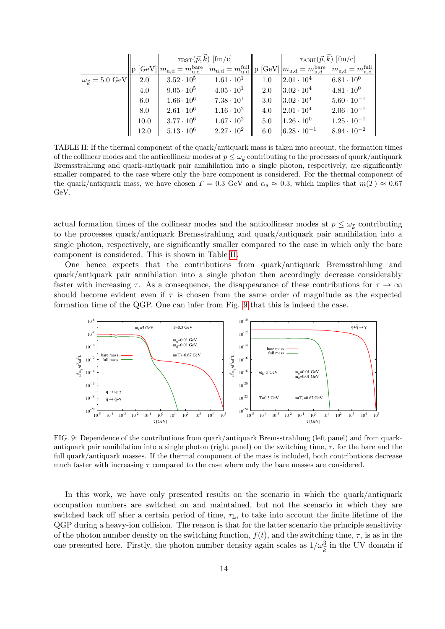|                                   |      | $\tau_{\text{BST}}(\vec{p},\vec{k})$ [fm/c]                                               |                     |     | $\tau_{\rm ANH}(\vec{p},\vec{k})$ [fm/c]                                                                                    |                      |  |
|-----------------------------------|------|-------------------------------------------------------------------------------------------|---------------------|-----|-----------------------------------------------------------------------------------------------------------------------------|----------------------|--|
|                                   |      | $\vert p \vert$ [GeV] $\vert m_{\text{u},\text{d}} = m_{\text{u},\text{d}}^{\text{bare}}$ |                     |     | $m_{u,d} = m_{u,d}^{\text{full}} \ p\ [\text{GeV}] \ m_{u,d} = m_{u,d}^{\text{bare}} \quad m_{u,d} = m_{u,d}^{\text{full}}$ |                      |  |
| $\omega_{\vec{k}}=5.0~\text{GeV}$ | 2.0  | $3.52 \cdot 10^5$                                                                         | $1.61 \cdot 10^{1}$ | 1.0 | $ 2.01 \cdot 10^4 $                                                                                                         | $6.81\cdot 10^{0}$   |  |
|                                   | 4.0  | $9.05 \cdot 10^{5}$                                                                       | $4.05 \cdot 10^{1}$ | 2.0 | $ 3.02 \cdot 10^4 $                                                                                                         | $4.81 \cdot 10^{0}$  |  |
|                                   | 6.0  | $1.66 \cdot 10^6$                                                                         | $7.38 \cdot 10^{1}$ | 3.0 | $ 3.02 \cdot 10^4 $                                                                                                         | $5.60 \cdot 10^{-1}$ |  |
|                                   | 8.0  | $2.61 \cdot 10^6$                                                                         | $1.16 \cdot 10^{2}$ | 4.0 | $ 2.01 \cdot 10^{4} $                                                                                                       | $2.06 \cdot 10^{-1}$ |  |
|                                   | 10.0 | $3.77 \cdot 10^6$                                                                         | $1.67 \cdot 10^{2}$ | 5.0 | $1.26 \cdot 10^{0}$                                                                                                         | $1.25 \cdot 10^{-1}$ |  |
|                                   | 12.0 | $5.13 \cdot 10^6$                                                                         | $2.27 \cdot 10^{2}$ | 6.0 | $ 6.28 \cdot 10^{-1} $                                                                                                      | $8.94 \cdot 10^{-2}$ |  |

<span id="page-13-0"></span>TABLE II: If the thermal component of the quark/antiquark mass is taken into account, the formation times of the collinear modes and the anticollinear modes at  $p \leq \omega_{\vec{k}}$  contributing to the processes of quark/antiquark Bremsstrahlung and quark-antiquark pair annihilation into a single photon, respectively, are significantly smaller compared to the case where only the bare component is considered. For the thermal component of the quark/antiquark mass, we have chosen  $T = 0.3$  GeV and  $\alpha_s \approx 0.3$ , which implies that  $m(T) \approx 0.67$ GeV.

actual formation times of the collinear modes and the anticollinear modes at  $p \leq \omega_{\vec{k}}$  contributing to the processes quark/antiquark Bremsstrahlung and quark/antiquark pair annihilation into a single photon, respectively, are significantly smaller compared to the case in which only the bare component is considered. This is shown in Table [II.](#page-13-0)

One hence expects that the contributions from quark/antiquark Bremsstrahlung and quark/antiquark pair annihilation into a single photon then accordingly decrease considerably faster with increasing  $\tau$ . As a consequence, the disappearance of these contributions for  $\tau \to \infty$ should become evident even if  $\tau$  is chosen from the same order of magnitude as the expected formation time of the QGP. One can infer from Fig. [9](#page-13-1) that this is indeed the case.

![](_page_13_Figure_4.jpeg)

<span id="page-13-1"></span>FIG. 9: Dependence of the contributions from quark/antiquark Bremsstrahlung (left panel) and from quarkantiquark pair annihilation into a single photon (right panel) on the switching time,  $\tau$ , for the bare and the full quark/antiquark masses. If the thermal component of the mass is included, both contributions decrease much faster with increasing  $\tau$  compared to the case where only the bare masses are considered.

In this work, we have only presented results on the scenario in which the quark/antiquark occupation numbers are switched on and maintained, but not the scenario in which they are switched back off after a certain period of time,  $\tau_L$ , to take into account the finite lifetime of the QGP during a heavy-ion collision. The reason is that for the latter scenario the principle sensitivity of the photon number density on the switching function,  $f(t)$ , and the switching time,  $\tau$ , is as in the one presented here. Firstly, the photon number density again scales as  $1/\omega_{\vec{k}}^3$  in the UV domain if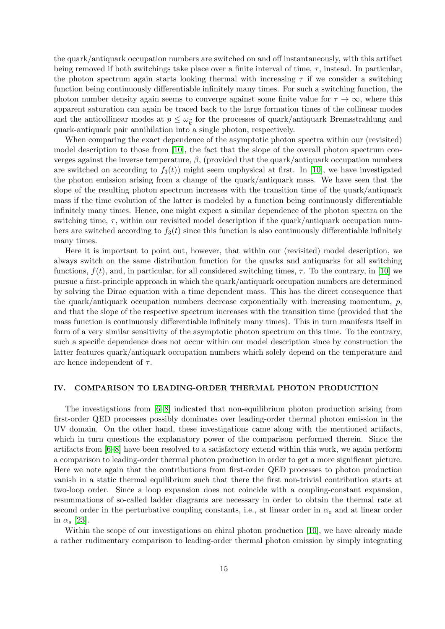the quark/antiquark occupation numbers are switched on and off instantaneously, with this artifact being removed if both switchings take place over a finite interval of time,  $\tau$ , instead. In particular, the photon spectrum again starts looking thermal with increasing  $\tau$  if we consider a switching function being continuously differentiable infinitely many times. For such a switching function, the photon number density again seems to converge against some finite value for  $\tau \to \infty$ , where this apparent saturation can again be traced back to the large formation times of the collinear modes and the anticollinear modes at  $p \leq \omega_{\vec{k}}$  for the processes of quark/antiquark Bremsstrahlung and quark-antiquark pair annihilation into a single photon, respectively.

When comparing the exact dependence of the asymptotic photon spectra within our (revisited) model description to those from [\[10\]](#page-22-5), the fact that the slope of the overall photon spectrum converges against the inverse temperature,  $\beta$ , (provided that the quark/antiquark occupation numbers are switched on according to  $f_3(t)$  might seem unphysical at first. In [\[10\]](#page-22-5), we have investigated the photon emission arising from a change of the quark/antiquark mass. We have seen that the slope of the resulting photon spectrum increases with the transition time of the quark/antiquark mass if the time evolution of the latter is modeled by a function being continuously differentiable infinitely many times. Hence, one might expect a similar dependence of the photon spectra on the switching time,  $\tau$ , within our revisited model description if the quark/antiquark occupation numbers are switched according to  $f_3(t)$  since this function is also continuously differentiable infinitely many times.

Here it is important to point out, however, that within our (revisited) model description, we always switch on the same distribution function for the quarks and antiquarks for all switching functions,  $f(t)$ , and, in particular, for all considered switching times,  $\tau$ . To the contrary, in [\[10\]](#page-22-5) we pursue a first-principle approach in which the quark/antiquark occupation numbers are determined by solving the Dirac equation with a time dependent mass. This has the direct consequence that the quark/antiquark occupation numbers decrease exponentially with increasing momentum,  $p$ , and that the slope of the respective spectrum increases with the transition time (provided that the mass function is continuously differentiable infinitely many times). This in turn manifests itself in form of a very similar sensitivity of the asymptotic photon spectrum on this time. To the contrary, such a specific dependence does not occur within our model description since by construction the latter features quark/antiquark occupation numbers which solely depend on the temperature and are hence independent of  $\tau$ .

## <span id="page-14-0"></span>IV. COMPARISON TO LEADING-ORDER THERMAL PHOTON PRODUCTION

The investigations from [\[6–](#page-22-2)[8\]](#page-22-3) indicated that non-equilibrium photon production arising from first-order QED processes possibly dominates over leading-order thermal photon emission in the UV domain. On the other hand, these investigations came along with the mentioned artifacts, which in turn questions the explanatory power of the comparison performed therein. Since the artifacts from [\[6](#page-22-2)[–8\]](#page-22-3) have been resolved to a satisfactory extend within this work, we again perform a comparison to leading-order thermal photon production in order to get a more significant picture. Here we note again that the contributions from first-order QED processes to photon production vanish in a static thermal equilibrium such that there the first non-trivial contribution starts at two-loop order. Since a loop expansion does not coincide with a coupling-constant expansion, resummations of so-called ladder diagrams are necessary in order to obtain the thermal rate at second order in the perturbative coupling constants, i.e., at linear order in  $\alpha_e$  and at linear order in  $\alpha_s$  [\[23\]](#page-23-6).

Within the scope of our investigations on chiral photon production [\[10\]](#page-22-5), we have already made a rather rudimentary comparison to leading-order thermal photon emission by simply integrating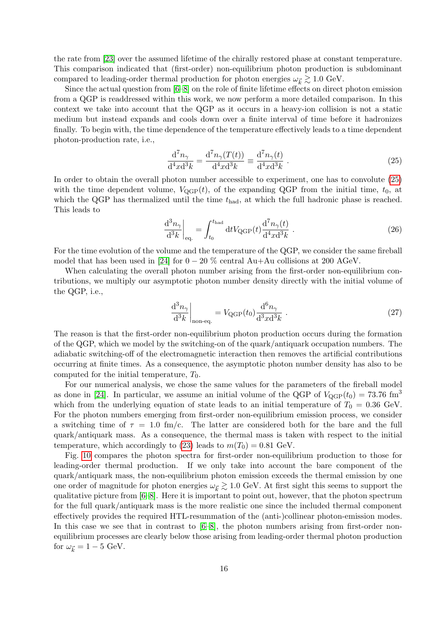the rate from [\[23\]](#page-23-6) over the assumed lifetime of the chirally restored phase at constant temperature. This comparison indicated that (first-order) non-equilibrium photon production is subdominant compared to leading-order thermal production for photon energies  $\omega_{\vec{k}} \gtrsim 1.0 \text{ GeV}$ .

Since the actual question from [\[6](#page-22-2)[–8\]](#page-22-3) on the role of finite lifetime effects on direct photon emission from a QGP is readdressed within this work, we now perform a more detailed comparison. In this context we take into account that the QGP as it occurs in a heavy-ion collision is not a static medium but instead expands and cools down over a finite interval of time before it hadronizes finally. To begin with, the time dependence of the temperature effectively leads to a time dependent photon-production rate, i.e.,

<span id="page-15-0"></span>
$$
\frac{\mathrm{d}^7 n_\gamma}{\mathrm{d}^4 x \mathrm{d}^3 k} = \frac{\mathrm{d}^7 n_\gamma(T(t))}{\mathrm{d}^4 x \mathrm{d}^3 k} \equiv \frac{\mathrm{d}^7 n_\gamma(t)}{\mathrm{d}^4 x \mathrm{d}^3 k} \ . \tag{25}
$$

In order to obtain the overall photon number accessible to experiment, one has to convolute [\(25\)](#page-15-0) with the time dependent volume,  $V_{\text{QGP}}(t)$ , of the expanding QGP from the initial time,  $t_0$ , at which the QGP has thermalized until the time  $t_{\text{had}}$ , at which the full hadronic phase is reached. This leads to

$$
\left. \frac{\mathrm{d}^3 n_\gamma}{\mathrm{d}^3 k} \right|_{\text{eq.}} = \int_{t_0}^{t_{\text{had}}} \mathrm{d}t V_{\text{QGP}}(t) \frac{\mathrm{d}^7 n_\gamma(t)}{\mathrm{d}^4 x \mathrm{d}^3 k} \,. \tag{26}
$$

For the time evolution of the volume and the temperature of the QGP, we consider the same fireball model that has been used in [\[24\]](#page-23-7) for  $0 - 20$  % central Au+Au collisions at 200 AGeV.

When calculating the overall photon number arising from the first-order non-equilibrium contributions, we multiply our asymptotic photon number density directly with the initial volume of the QGP, i.e.,

$$
\left. \frac{\mathrm{d}^3 n_\gamma}{\mathrm{d}^3 k} \right|_{\text{non-eq.}} = V_{\text{QGP}}(t_0) \frac{\mathrm{d}^6 n_\gamma}{\mathrm{d}^3 x \mathrm{d}^3 k} \ . \tag{27}
$$

The reason is that the first-order non-equilibrium photon production occurs during the formation of the QGP, which we model by the switching-on of the quark/antiquark occupation numbers. The adiabatic switching-off of the electromagnetic interaction then removes the artificial contributions occurring at finite times. As a consequence, the asymptotic photon number density has also to be computed for the initial temperature,  $T_0$ .

For our numerical analysis, we chose the same values for the parameters of the fireball model as done in [\[24\]](#page-23-7). In particular, we assume an initial volume of the QGP of  $V_{\text{OGP}}(t_0) = 73.76 \text{ fm}^3$ which from the underlying equation of state leads to an initial temperature of  $T_0 = 0.36$  GeV. For the photon numbers emerging from first-order non-equilibrium emission process, we consider a switching time of  $\tau = 1.0$  fm/c. The latter are considered both for the bare and the full quark/antiquark mass. As a consequence, the thermal mass is taken with respect to the initial temperature, which accordingly to [\(23\)](#page-12-1) leads to  $m(T_0) = 0.81$  GeV.

Fig. [10](#page-16-0) compares the photon spectra for first-order non-equilibrium production to those for leading-order thermal production. If we only take into account the bare component of the quark/antiquark mass, the non-equilibrium photon emission exceeds the thermal emission by one one order of magnitude for photon energies  $\omega_{\vec{k}} \gtrsim 1.0$  GeV. At first sight this seems to support the qualitative picture from [\[6–](#page-22-2)[8\]](#page-22-3). Here it is important to point out, however, that the photon spectrum for the full quark/antiquark mass is the more realistic one since the included thermal component effectively provides the required HTL-resummation of the (anti-)collinear photon-emission modes. In this case we see that in contrast to  $[6-8]$  $[6-8]$ , the photon numbers arising from first-order nonequilibrium processes are clearly below those arising from leading-order thermal photon production for  $\omega_{\vec{k}} = 1 - 5$  GeV.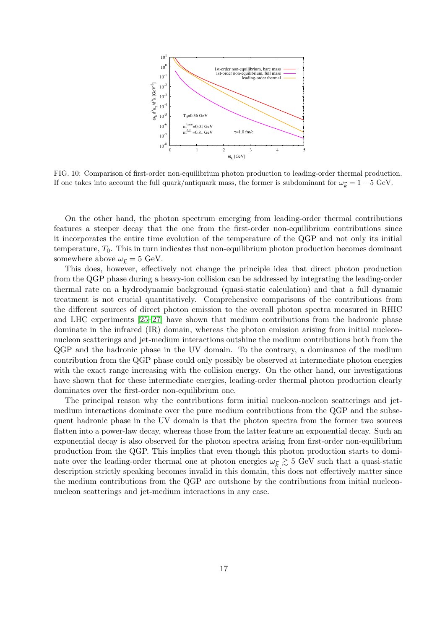![](_page_16_Figure_0.jpeg)

<span id="page-16-0"></span>FIG. 10: Comparison of first-order non-equilibrium photon production to leading-order thermal production. If one takes into account the full quark/antiquark mass, the former is subdominant for  $\omega_{\vec{k}} = 1 - 5$  GeV.

On the other hand, the photon spectrum emerging from leading-order thermal contributions features a steeper decay that the one from the first-order non-equilibrium contributions since it incorporates the entire time evolution of the temperature of the QGP and not only its initial temperature,  $T_0$ . This in turn indicates that non-equilibrium photon production becomes dominant somewhere above  $\omega_{\vec{k}} = 5$  GeV.

This does, however, effectively not change the principle idea that direct photon production from the QGP phase during a heavy-ion collision can be addressed by integrating the leading-order thermal rate on a hydrodynamic background (quasi-static calculation) and that a full dynamic treatment is not crucial quantitatively. Comprehensive comparisons of the contributions from the different sources of direct photon emission to the overall photon spectra measured in RHIC and LHC experiments [\[25–](#page-23-8)[27\]](#page-23-9) have shown that medium contributions from the hadronic phase dominate in the infrared (IR) domain, whereas the photon emission arising from initial nucleonnucleon scatterings and jet-medium interactions outshine the medium contributions both from the QGP and the hadronic phase in the UV domain. To the contrary, a dominance of the medium contribution from the QGP phase could only possibly be observed at intermediate photon energies with the exact range increasing with the collision energy. On the other hand, our investigations have shown that for these intermediate energies, leading-order thermal photon production clearly dominates over the first-order non-equilibrium one.

The principal reason why the contributions form initial nucleon-nucleon scatterings and jetmedium interactions dominate over the pure medium contributions from the QGP and the subsequent hadronic phase in the UV domain is that the photon spectra from the former two sources flatten into a power-law decay, whereas those from the latter feature an exponential decay. Such an exponential decay is also observed for the photon spectra arising from first-order non-equilibrium production from the QGP. This implies that even though this photon production starts to dominate over the leading-order thermal one at photon energies  $\omega_{\vec{k}} \gtrsim 5$  GeV such that a quasi-static description strictly speaking becomes invalid in this domain, this does not effectively matter since the medium contributions from the QGP are outshone by the contributions from initial nucleonnucleon scatterings and jet-medium interactions in any case.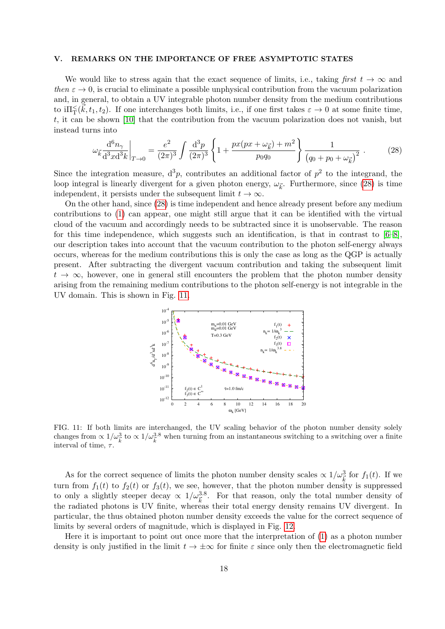#### <span id="page-17-0"></span>V. REMARKS ON THE IMPORTANCE OF FREE ASYMPTOTIC STATES

We would like to stress again that the exact sequence of limits, i.e., taking first  $t \to \infty$  and then  $\varepsilon \to 0$ , is crucial to eliminate a possible unphysical contribution from the vacuum polarization and, in general, to obtain a UV integrable photon number density from the medium contributions to  $\mathrm{i}\Pi_{\mathrm{T}}^{\leq}(\vec{k},t_1,t_2)$ . If one interchanges both limits, i.e., if one first takes  $\varepsilon \to 0$  at some finite time,  $t$ , it can be shown [\[10\]](#page-22-5) that the contribution from the vacuum polarization does not vanish, but instead turns into

<span id="page-17-1"></span>
$$
\omega_{\vec{k}} \frac{\mathrm{d}^6 n_{\gamma}}{\mathrm{d}^3 x \mathrm{d}^3 k} \bigg|_{T \to 0} = \frac{e^2}{(2\pi)^3} \int \frac{\mathrm{d}^3 p}{(2\pi)^3} \left\{ 1 + \frac{px(px + \omega_{\vec{k}}) + m^2}{p_0 q_0} \right\} \frac{1}{(q_0 + p_0 + \omega_{\vec{k}})^2} \,. \tag{28}
$$

Since the integration measure,  $d^3p$ , contributes an additional factor of  $p^2$  to the integrand, the loop integral is linearly divergent for a given photon energy,  $\omega_{\vec{k}}$ . Furthermore, since [\(28\)](#page-17-1) is time independent, it persists under the subsequent limit  $t \to \infty$ .

On the other hand, since [\(28\)](#page-17-1) is time independent and hence already present before any medium contributions to [\(1\)](#page-2-1) can appear, one might still argue that it can be identified with the virtual cloud of the vacuum and accordingly needs to be subtracted since it is unobservable. The reason for this time independence, which suggests such an identification, is that in contrast to  $[6-8]$  $[6-8]$ , our description takes into account that the vacuum contribution to the photon self-energy always occurs, whereas for the medium contributions this is only the case as long as the QGP is actually present. After subtracting the divergent vacuum contribution and taking the subsequent limit  $t \to \infty$ , however, one in general still encounters the problem that the photon number density arising from the remaining medium contributions to the photon self-energy is not integrable in the UV domain. This is shown in Fig. [11.](#page-17-2)

![](_page_17_Figure_5.jpeg)

<span id="page-17-2"></span>FIG. 11: If both limits are interchanged, the UV scaling behavior of the photon number density solely changes from  $\propto 1/\omega_k^3$  to  $\propto 1/\omega_k^3$ .<sup>8</sup> when turning from an instantaneous switching to a switching over a finite interval of time,  $\tau$ .

As for the correct sequence of limits the photon number density scales  $\propto 1/\omega_k^3$  for  $f_1(t)$ . If we turn from  $f_1(t)$  to  $f_2(t)$  or  $f_3(t)$ , we see, however, that the photon number density is suppressed to only a slightly steeper decay  $\propto 1/\omega_k^{3.8}$ . For that reason, only the total number density of the radiated photons is UV finite, whereas their total energy density remains UV divergent. In particular, the thus obtained photon number density exceeds the value for the correct sequence of limits by several orders of magnitude, which is displayed in Fig. [12.](#page-18-1)

Here it is important to point out once more that the interpretation of [\(1\)](#page-2-1) as a photon number density is only justified in the limit  $t \to \pm \infty$  for finite  $\varepsilon$  since only then the electromagnetic field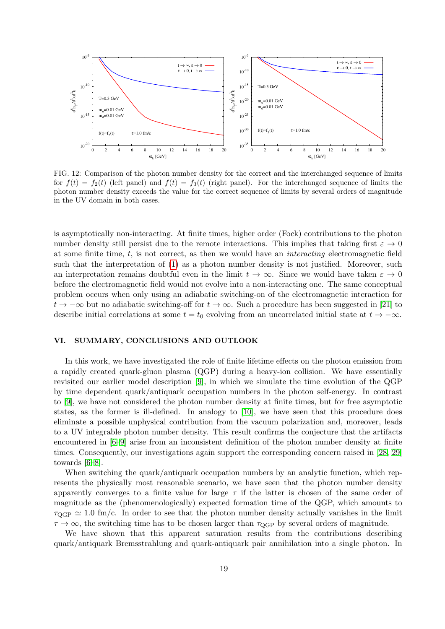![](_page_18_Figure_0.jpeg)

<span id="page-18-1"></span>FIG. 12: Comparison of the photon number density for the correct and the interchanged sequence of limits for  $f(t) = f_2(t)$  (left panel) and  $f(t) = f_3(t)$  (right panel). For the interchanged sequence of limits the photon number density exceeds the value for the correct sequence of limits by several orders of magnitude in the UV domain in both cases.

is asymptotically non-interacting. At finite times, higher order (Fock) contributions to the photon number density still persist due to the remote interactions. This implies that taking first  $\varepsilon \to 0$ at some finite time, t, is not correct, as then we would have an interacting electromagnetic field such that the interpretation of [\(1\)](#page-2-1) as a photon number density is not justified. Moreover, such an interpretation remains doubtful even in the limit  $t \to \infty$ . Since we would have taken  $\varepsilon \to 0$ before the electromagnetic field would not evolve into a non-interacting one. The same conceptual problem occurs when only using an adiabatic switching-on of the electromagnetic interaction for  $t \to -\infty$  but no adiabatic switching-off for  $t \to \infty$ . Such a procedure has been suggested in [\[21\]](#page-23-4) to describe initial correlations at some  $t = t_0$  evolving from an uncorrelated initial state at  $t \to -\infty$ .

## <span id="page-18-0"></span>VI. SUMMARY, CONCLUSIONS AND OUTLOOK

In this work, we have investigated the role of finite lifetime effects on the photon emission from a rapidly created quark-gluon plasma (QGP) during a heavy-ion collision. We have essentially revisited our earlier model description [\[9\]](#page-22-4), in which we simulate the time evolution of the QGP by time dependent quark/antiquark occupation numbers in the photon self-energy. In contrast to [\[9\]](#page-22-4), we have not considered the photon number density at finite times, but for free asymptotic states, as the former is ill-defined. In analogy to [\[10\]](#page-22-5), we have seen that this procedure does eliminate a possible unphysical contribution from the vacuum polarization and, moreover, leads to a UV integrable photon number density. This result confirms the conjecture that the artifacts encountered in [\[6](#page-22-2)[–9\]](#page-22-4) arise from an inconsistent definition of the photon number density at finite times. Consequently, our investigations again support the corresponding concern raised in [\[28,](#page-23-10) [29\]](#page-23-11) towards [\[6–](#page-22-2)[8\]](#page-22-3).

When switching the quark/antiquark occupation numbers by an analytic function, which represents the physically most reasonable scenario, we have seen that the photon number density apparently converges to a finite value for large  $\tau$  if the latter is chosen of the same order of magnitude as the (phenomenologically) expected formation time of the QGP, which amounts to  $\tau_{\text{OGP}} \simeq 1.0 \text{ fm/c}$ . In order to see that the photon number density actually vanishes in the limit  $\tau \to \infty$ , the switching time has to be chosen larger than  $\tau_{\text{QGP}}$  by several orders of magnitude.

We have shown that this apparent saturation results from the contributions describing quark/antiquark Bremsstrahlung and quark-antiquark pair annihilation into a single photon. In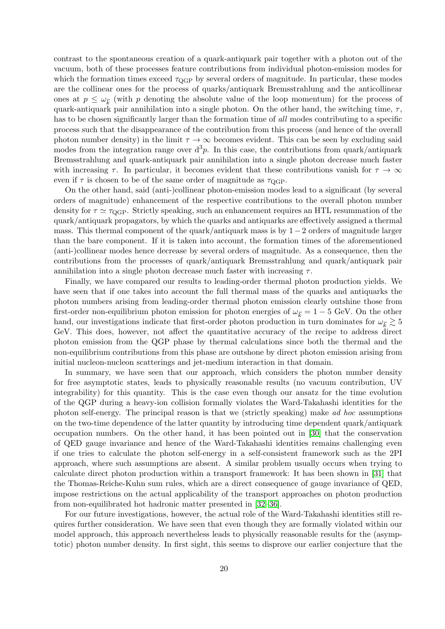contrast to the spontaneous creation of a quark-antiquark pair together with a photon out of the vacuum, both of these processes feature contributions from individual photon-emission modes for which the formation times exceed  $\tau_{\text{QGP}}$  by several orders of magnitude. In particular, these modes are the collinear ones for the process of quarks/antiquark Bremsstrahlung and the anticollinear ones at  $p \leq \omega_{\vec{k}}$  (with p denoting the absolute value of the loop momentum) for the process of quark-antiquark pair annihilation into a single photon. On the other hand, the switching time,  $\tau$ , has to be chosen significantly larger than the formation time of all modes contributing to a specific process such that the disappearance of the contribution from this process (and hence of the overall photon number density) in the limit  $\tau \to \infty$  becomes evident. This can be seen by excluding said modes from the integration range over  $d^3p$ . In this case, the contributions from quark/antiquark Bremsstrahlung and quark-antiquark pair annihilation into a single photon decrease much faster with increasing  $\tau$ . In particular, it becomes evident that these contributions vanish for  $\tau \to \infty$ even if  $\tau$  is chosen to be of the same order of magnitude as  $\tau_{\text{OGP}}$ .

On the other hand, said (anti-)collinear photon-emission modes lead to a significant (by several orders of magnitude) enhancement of the respective contributions to the overall photon number density for  $\tau \simeq \tau_{\text{QGP}}$ . Strictly speaking, such an enhancement requires an HTL resummation of the quark/antiquark propagators, by which the quarks and antiquarks are effectively assigned a thermal mass. This thermal component of the quark/antiquark mass is by  $1 - 2$  orders of magnitude larger than the bare component. If it is taken into account, the formation times of the aforementioned (anti-)collinear modes hence decrease by several orders of magnitude. As a consequence, then the contributions from the processes of quark/antiquark Bremsstrahlung and quark/antiquark pair annihilation into a single photon decrease much faster with increasing  $\tau$ .

Finally, we have compared our results to leading-order thermal photon production yields. We have seen that if one takes into account the full thermal mass of the quarks and antiquarks the photon numbers arising from leading-order thermal photon emission clearly outshine those from first-order non-equilibrium photon emission for photon energies of  $\omega_{\vec{k}} = 1 - 5$  GeV. On the other hand, our investigations indicate that first-order photon production in turn dominates for  $\omega_{\vec{k}} \gtrsim 5$ GeV. This does, however, not affect the quantitative accuracy of the recipe to address direct photon emission from the QGP phase by thermal calculations since both the thermal and the non-equilibrium contributions from this phase are outshone by direct photon emission arising from initial nucleon-nucleon scatterings and jet-medium interaction in that domain.

In summary, we have seen that our approach, which considers the photon number density for free asymptotic states, leads to physically reasonable results (no vacuum contribution, UV integrability) for this quantity. This is the case even though our ansatz for the time evolution of the QGP during a heavy-ion collision formally violates the Ward-Takahashi identities for the photon self-energy. The principal reason is that we (strictly speaking) make ad hoc assumptions on the two-time dependence of the latter quantity by introducing time dependent quark/antiquark occupation numbers. On the other hand, it has been pointed out in [\[30\]](#page-23-12) that the conservation of QED gauge invariance and hence of the Ward-Takahashi identities remains challenging even if one tries to calculate the photon self-energy in a self-consistent framework such as the 2PI approach, where such assumptions are absent. A similar problem usually occurs when trying to calculate direct photon production within a transport framework: It has been shown in [\[31\]](#page-23-13) that the Thomas-Reiche-Kuhn sum rules, which are a direct consequence of gauge invariance of QED, impose restrictions on the actual applicability of the transport approaches on photon production from non-equilibrated hot hadronic matter presented in [\[32–](#page-23-14)[36\]](#page-23-15).

For our future investigations, however, the actual role of the Ward-Takahashi identities still requires further consideration. We have seen that even though they are formally violated within our model approach, this approach nevertheless leads to physically reasonable results for the (asymptotic) photon number density. In first sight, this seems to disprove our earlier conjecture that the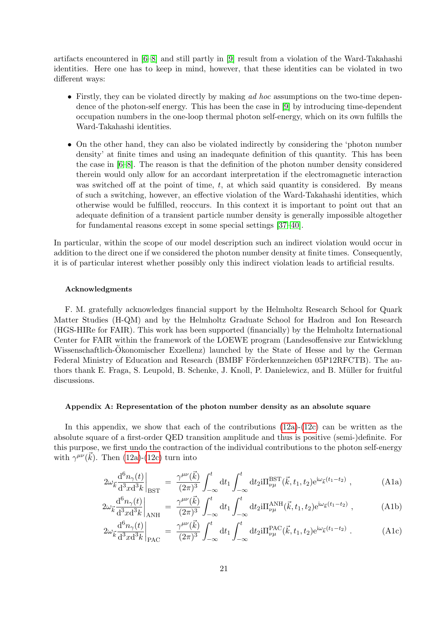artifacts encountered in [\[6–](#page-22-2)[8\]](#page-22-3) and still partly in [\[9\]](#page-22-4) result from a violation of the Ward-Takahashi identities. Here one has to keep in mind, however, that these identities can be violated in two different ways:

- Firstly, they can be violated directly by making ad hoc assumptions on the two-time dependence of the photon-self energy. This has been the case in [\[9\]](#page-22-4) by introducing time-dependent occupation numbers in the one-loop thermal photon self-energy, which on its own fulfills the Ward-Takahashi identities.
- On the other hand, they can also be violated indirectly by considering the 'photon number density' at finite times and using an inadequate definition of this quantity. This has been the case in  $[6-8]$  $[6-8]$ . The reason is that the definition of the photon number density considered therein would only allow for an accordant interpretation if the electromagnetic interaction was switched off at the point of time,  $t$ , at which said quantity is considered. By means of such a switching, however, an effective violation of the Ward-Takahashi identities, which otherwise would be fulfilled, reoccurs. In this context it is important to point out that an adequate definition of a transient particle number density is generally impossible altogether for fundamental reasons except in some special settings [\[37–](#page-23-16)[40\]](#page-23-17).

In particular, within the scope of our model description such an indirect violation would occur in addition to the direct one if we considered the photon number density at finite times. Consequently, it is of particular interest whether possibly only this indirect violation leads to artificial results.

# Acknowledgments

F. M. gratefully acknowledges financial support by the Helmholtz Research School for Quark Matter Studies (H-QM) and by the Helmholtz Graduate School for Hadron and Ion Research (HGS-HIRe for FAIR). This work has been supported (financially) by the Helmholtz International Center for FAIR within the framework of the LOEWE program (Landesoffensive zur Entwicklung Wissenschaftlich-Okonomischer Exzellenz) launched by the State of Hesse and by the German Federal Ministry of Education and Research (BMBF Förderkennzeichen 05P12RFCTB). The authors thank E. Fraga, S. Leupold, B. Schenke, J. Knoll, P. Danielewicz, and B. Müller for fruitful discussions.

#### <span id="page-20-0"></span>Appendix A: Representation of the photon number density as an absolute square

In this appendix, we show that each of the contributions  $(12a)-(12c)$  $(12a)-(12c)$  $(12a)-(12c)$  can be written as the absolute square of a first-order QED transition amplitude and thus is positive (semi-)definite. For this purpose, we first undo the contraction of the individual contributions to the photon self-energy with  $\gamma^{\mu\nu}(\vec{k})$ . Then [\(12a\)](#page-4-2)-[\(12c\)](#page-4-2) turn into

<span id="page-20-1"></span>
$$
2\omega_{\vec{k}}\frac{\mathrm{d}^{6}n_{\gamma}(t)}{\mathrm{d}^{3}x\mathrm{d}^{3}k}\bigg|_{\mathrm{BST}} = \frac{\gamma^{\mu\nu}(\vec{k})}{(2\pi)^{3}}\int_{-\infty}^{t} \mathrm{d}t_{1} \int_{-\infty}^{t} \mathrm{d}t_{2}i\Pi_{\nu\mu}^{\mathrm{BST}}(\vec{k},t_{1},t_{2})e^{i\omega_{\vec{k}}(t_{1}-t_{2})}, \tag{A1a}
$$

$$
2\omega_{\vec{k}}\frac{\mathrm{d}^6 n_{\gamma}(t)}{\mathrm{d}^3 x \mathrm{d}^3 k}\bigg|_{\text{ANH}} = \frac{\gamma^{\mu\nu}(\vec{k})}{(2\pi)^3} \int_{-\infty}^t \mathrm{d}t_1 \int_{-\infty}^t \mathrm{d}t_2 \mathrm{i} \Pi_{\nu\mu}^{\text{ANH}}(\vec{k}, t_1, t_2) e^{\mathrm{i}\omega_{\vec{k}}(t_1 - t_2)}, \tag{A1b}
$$

$$
2\omega_{\vec{k}}\frac{\mathrm{d}^6 n_{\gamma}(t)}{\mathrm{d}^3 x \mathrm{d}^3 k}\bigg|_{\text{PAC}} = \frac{\gamma^{\mu\nu}(\vec{k})}{(2\pi)^3} \int_{-\infty}^t \mathrm{d}t_1 \int_{-\infty}^t \mathrm{d}t_2 \mathrm{i} \Pi_{\nu\mu}^{\text{PAC}}(\vec{k}, t_1, t_2) \mathrm{e}^{\mathrm{i}\omega_{\vec{k}}(t_1 - t_2)} \ . \tag{A1c}
$$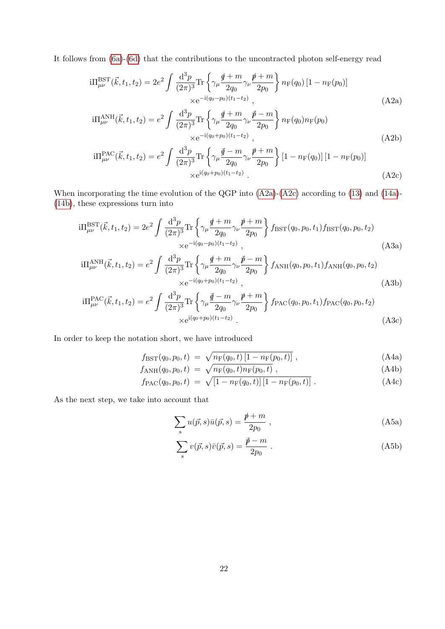It follows from [\(6a\)](#page-3-2)-[\(6d\)](#page-3-2) that the contributions to the uncontracted photon self-energy read

$$
i\Pi_{\mu\nu}^{\text{BST}}(\vec{k}, t_1, t_2) = 2e^2 \int \frac{d^3 p}{(2\pi)^3} \text{Tr} \left\{ \gamma_\mu \frac{\not{q} + m}{2q_0} \gamma_\nu \frac{\not{p} + m}{2p_0} \right\} n_{\text{F}}(q_0) \left[ 1 - n_{\text{F}}(p_0) \right]
$$
  
 
$$
\times e^{-i(q_0 - p_0)(t_1 - t_2)},
$$
  
\n
$$
i\Pi^{\text{ANH}}(\vec{k}, t_1, t_2) = e^2 \int \frac{d^3 p}{(2\pi)^3} \text{Tr} \left\{ \gamma_\mu \frac{\not{q} + m}{2q_0} \vec{p} - m \right\}_{\text{F}}(q_0) n_{\text{F}}(p_0),
$$
 (A2a)

<span id="page-21-0"></span>
$$
i\Pi_{\mu\nu}^{\text{ANH}}(\vec{k}, t_1, t_2) = e^2 \int \frac{\mathrm{d}^3 p}{(2\pi)^3} \text{Tr} \left\{ \gamma_\mu \frac{\partial \phi + m}{2q_0} \gamma_\nu \frac{\partial \phi - m}{2p_0} \right\} n_{\text{F}}(q_0) n_{\text{F}}(p_0)
$$
  
 
$$
\times e^{-i(q_0 + p_0)(t_1 - t_2)}, \qquad (A2b)
$$

<span id="page-21-1"></span>
$$
i\Pi_{\mu\nu}^{\text{PAC}}(\vec{k}, t_1, t_2) = e^2 \int \frac{\mathrm{d}^3 p}{(2\pi)^3} \text{Tr} \left\{ \gamma_\mu \frac{\vec{q} - m}{2q_0} \gamma_\nu \frac{\vec{p} + m}{2p_0} \right\} [1 - n_{\text{F}}(q_0)] [1 - n_{\text{F}}(p_0)]
$$
  
 
$$
\times e^{i(q_0 + p_0)(t_1 - t_2)}.
$$
 (A2c)

When incorporating the time evolution of the QGP into  $(A2a)-(A2c)$  $(A2a)-(A2c)$  $(A2a)-(A2c)$  according to  $(13)$  and  $(14a) (14a)-$ [\(14b\)](#page-5-3), these expressions turn into

$$
i\Pi_{\mu\nu}^{\text{BST}}(\vec{k}, t_1, t_2) = 2e^2 \int \frac{d^3 p}{(2\pi)^3} \text{Tr} \left\{ \gamma_\mu \frac{\not q + m}{2q_0} \gamma_\nu \frac{\not p + m}{2p_0} \right\} f_{\text{BST}}(q_0, p_0, t_1) f_{\text{BST}}(q_0, p_0, t_2) \times e^{-i(q_0 - p_0)(t_1 - t_2)}, \tag{A3a}
$$

$$
i\Pi_{\mu\nu}^{\text{ANH}}(\vec{k}, t_1, t_2) = e^2 \int \frac{\mathrm{d}^3 p}{(2\pi)^3} \text{Tr} \left\{ \gamma_\mu \frac{\rlap{\hspace{0.1cm}}/}{2q_0} \gamma_\nu \frac{\rlap{\hspace{0.1cm}}/}{2p_0} - m \right\} f_{\text{ANH}}(q_0, p_0, t_1) f_{\text{ANH}}(q_0, p_0, t_2) \times e^{-i(q_0 + p_0)(t_1 - t_2)}, \tag{A3b}
$$

$$
i\Pi_{\mu\nu}^{\text{PAC}}(\vec{k}, t_1, t_2) = e^2 \int \frac{\mathrm{d}^3 p}{(2\pi)^3} \text{Tr} \left\{ \gamma_\mu \frac{\vec{q} - m}{2q_0} \gamma_\nu \frac{\vec{p} + m}{2p_0} \right\} f_{\text{PAC}}(q_0, p_0, t_1) f_{\text{PAC}}(q_0, p_0, t_2) \times e^{i(q_0 + p_0)(t_1 - t_2)}.
$$
\n(A3c)

In order to keep the notation short, we have introduced

<span id="page-21-2"></span>
$$
f_{\text{BST}}(q_0, p_0, t) = \sqrt{\frac{n_{\text{F}}(q_0, t) [1 - n_{\text{F}}(p_0, t)]}{n_{\text{F}}(q_0, t) [1 - n_{\text{F}}(p_0, t)]}} \,, \tag{A4a}
$$

$$
f_{\text{ANH}}(q_0, p_0, t) = \sqrt{n_{\text{F}}(q_0, t) n_{\text{F}}(p_0, t)} , \qquad (A4b)
$$

$$
f_{\rm PAC}(q_0, p_0, t) = \sqrt{[1 - n_{\rm F}(q_0, t)] [1 - n_{\rm F}(p_0, t)]}. \tag{A4c}
$$

As the next step, we take into account that

<span id="page-21-3"></span>
$$
\sum_{s} u(\vec{p}, s)\bar{u}(\vec{p}, s) = \frac{\rlap{\,/}{p} + m}{2p_0} \,, \tag{A5a}
$$

$$
\sum_{s} v(\vec{p}, s)\overline{v}(\vec{p}, s) = \frac{\vec{p} - m}{2p_0} .
$$
 (A5b)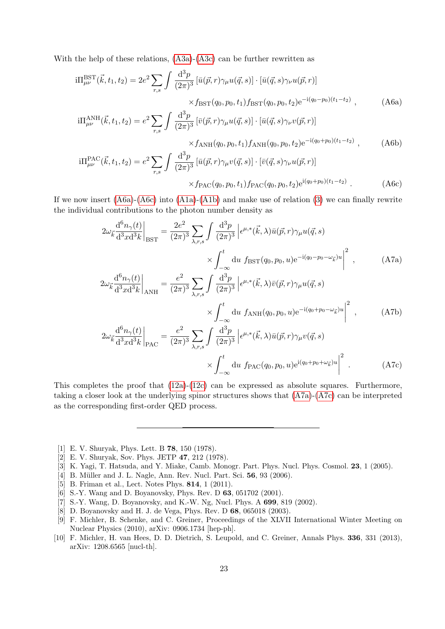With the help of these relations,  $(A3a)-(A3c)$  $(A3a)-(A3c)$  $(A3a)-(A3c)$  can be further rewritten as

<span id="page-22-6"></span>
$$
i\Pi_{\mu\nu}^{\text{BST}}(\vec{k}, t_1, t_2) = 2e^2 \sum_{r,s} \int \frac{d^3p}{(2\pi)^3} \left[ \bar{u}(\vec{p}, r) \gamma_{\mu} u(\vec{q}, s) \right] \cdot \left[ \bar{u}(\vec{q}, s) \gamma_{\nu} u(\vec{p}, r) \right] \times f_{\text{BST}}(q_0, p_0, t_1) f_{\text{BST}}(q_0, p_0, t_2) e^{-i(q_0 - p_0)(t_1 - t_2)}, \qquad (A6a)
$$
\n
$$
i\Pi_{\mu\nu}^{\text{ANH}}(\vec{k}, t_1, t_2) = e^2 \sum_{r,s} \int \frac{d^3p}{(2\pi)^3} \left[ \bar{v}(\vec{p}, r) \gamma_{\mu} u(\vec{q}, s) \right] \cdot \left[ \bar{u}(\vec{q}, s) \gamma_{\nu} v(\vec{p}, r) \right] \times f_{\text{ANH}}(q_0, p_0, t_1) f_{\text{ANH}}(q_0, p_0, t_2) e^{-i(q_0 + p_0)(t_1 - t_2)}, \qquad (A6b)
$$
\n
$$
i\Pi_{\mu\nu}^{\text{PAC}}(\vec{k}, t_1, t_2) = e^2 \sum_{r,s} \int \frac{d^3p}{(2\pi)^3} \left[ \bar{u}(\vec{p}, r) \gamma_{\mu} v(\vec{q}, s) \right] \cdot \left[ \bar{v}(\vec{q}, s) \gamma_{\nu} u(\vec{p}, r) \right] \times f_{\text{PAC}}(q_0, p_0, t_1) f_{\text{PAC}}(q_0, p_0, t_2) e^{i(q_0 + p_0)(t_1 - t_2)} \qquad (A6c)
$$

If we now insert  $(A6a)$ - $(A6c)$  into  $(A1a)$ - $(A1b)$  and make use of relation [\(3\)](#page-3-5) we can finally rewrite the individual contributions to the photon number density as

<span id="page-22-8"></span><span id="page-22-7"></span>
$$
2\omega_{\vec{k}}\frac{\mathrm{d}^{6}n_{\gamma}(t)}{\mathrm{d}^{3}x\mathrm{d}^{3}k}\bigg|_{\text{BST}} = \frac{2e^{2}}{(2\pi)^{3}}\sum_{\lambda,r,s}\int\frac{\mathrm{d}^{3}p}{(2\pi)^{3}}\left|e^{\mu,*}(\vec{k},\lambda)\bar{u}(\vec{p},r)\gamma_{\mu}u(\vec{q},s)\right|
$$

$$
\times\int_{-\infty}^{t}\mathrm{d}u\ f_{\text{BST}}(q_{0},p_{0},u)e^{-\mathrm{i}(q_{0}-p_{0}-\omega_{\vec{k}})u}\bigg|^{2},\tag{A7a}
$$

$$
2\omega_{\vec{k}}\frac{\mathrm{d}^6n_{\gamma}(t)}{\mathrm{d}^3x\mathrm{d}^3k}\bigg|_{\text{ANH}} = \frac{e^2}{(2\pi)^3} \sum_{\lambda,r,s} \int \frac{\mathrm{d}^3p}{(2\pi)^3} \left| \epsilon^{\mu,*}(\vec{k},\lambda)\bar{v}(\vec{p},r)\gamma_{\mu}u(\vec{q},s) \right|
$$

$$
\times \int_{-\infty}^t \mathrm{d}u \ f_{\text{ANH}}(q_0,p_0,u) e^{-i(q_0+p_0-\omega_{\vec{k}})u} \bigg|^2 , \tag{A7b}
$$

<span id="page-22-9"></span>
$$
2\omega_{\vec{k}}\frac{\mathrm{d}^6 n_{\gamma}(t)}{\mathrm{d}^3 x \mathrm{d}^3 k}\bigg|_{\text{PAC}} = \frac{e^2}{(2\pi)^3} \sum_{\lambda,r,s} \int \frac{\mathrm{d}^3 p}{(2\pi)^3} \left| \epsilon^{\mu,*}(\vec{k},\lambda)\bar{u}(\vec{p},r)\gamma_{\mu}v(\vec{q},s) \right|^{2} \times \int_{-\infty}^t \mathrm{d}u \ f_{\text{PAC}}(q_0,p_0,u) e^{\mathrm{i}(q_0+p_0+\omega_{\vec{k}})u} \bigg|^2 \qquad (A7c)
$$

This completes the proof that  $(12a)-(12c)$  $(12a)-(12c)$  $(12a)-(12c)$  can be expressed as absolute squares. Furthermore, taking a closer look at the underlying spinor structures shows that [\(A7a\)](#page-22-8)-[\(A7c\)](#page-22-9) can be interpreted as the corresponding first-order QED process.

- <span id="page-22-0"></span>[1] E. V. Shuryak, Phys. Lett. B 78, 150 (1978).
- [2] E. V. Shuryak, Sov. Phys. JETP 47, 212 (1978).
- [3] K. Yagi, T. Hatsuda, and Y. Miake, Camb. Monogr. Part. Phys. Nucl. Phys. Cosmol. 23, 1 (2005).
- [4] B. Müller and J. L. Nagle, Ann. Rev. Nucl. Part. Sci. **56**, 93 (2006).
- <span id="page-22-1"></span>[5] B. Friman et al., Lect. Notes Phys. 814, 1 (2011).
- <span id="page-22-2"></span>[6] S.-Y. Wang and D. Boyanovsky, Phys. Rev. D 63, 051702 (2001).
- [7] S.-Y. Wang, D. Boyanovsky, and K.-W. Ng, Nucl. Phys. A 699, 819 (2002).
- <span id="page-22-3"></span>[8] D. Boyanovsky and H. J. de Vega, Phys. Rev. D 68, 065018 (2003).
- <span id="page-22-4"></span>[9] F. Michler, B. Schenke, and C. Greiner, Proceedings of the XLVII International Winter Meeting on Nuclear Physics (2010), arXiv: 0906.1734 [hep-ph].
- <span id="page-22-5"></span>[10] F. Michler, H. van Hees, D. D. Dietrich, S. Leupold, and C. Greiner, Annals Phys. 336, 331 (2013), arXiv: 1208.6565 [nucl-th].